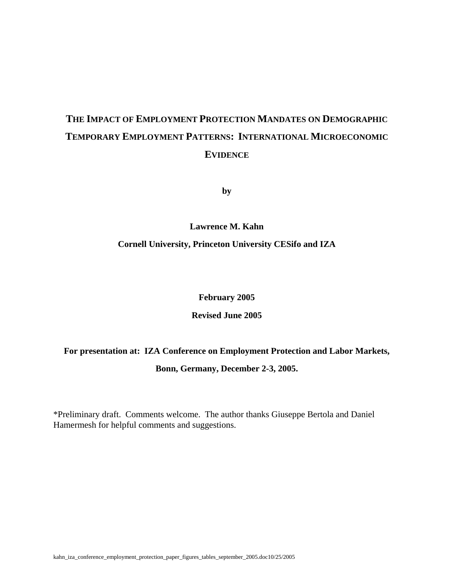# **THE IMPACT OF EMPLOYMENT PROTECTION MANDATES ON DEMOGRAPHIC TEMPORARY EMPLOYMENT PATTERNS: INTERNATIONAL MICROECONOMIC EVIDENCE**

**by** 

**Lawrence M. Kahn** 

**Cornell University, Princeton University CESifo and IZA** 

**February 2005** 

**Revised June 2005** 

**For presentation at: IZA Conference on Employment Protection and Labor Markets, Bonn, Germany, December 2-3, 2005.** 

\*Preliminary draft. Comments welcome. The author thanks Giuseppe Bertola and Daniel Hamermesh for helpful comments and suggestions.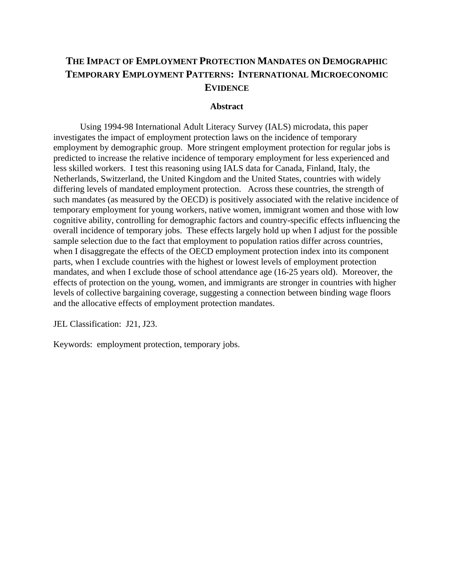## **THE IMPACT OF EMPLOYMENT PROTECTION MANDATES ON DEMOGRAPHIC TEMPORARY EMPLOYMENT PATTERNS: INTERNATIONAL MICROECONOMIC EVIDENCE**

#### **Abstract**

Using 1994-98 International Adult Literacy Survey (IALS) microdata, this paper investigates the impact of employment protection laws on the incidence of temporary employment by demographic group. More stringent employment protection for regular jobs is predicted to increase the relative incidence of temporary employment for less experienced and less skilled workers. I test this reasoning using IALS data for Canada, Finland, Italy, the Netherlands, Switzerland, the United Kingdom and the United States, countries with widely differing levels of mandated employment protection. Across these countries, the strength of such mandates (as measured by the OECD) is positively associated with the relative incidence of temporary employment for young workers, native women, immigrant women and those with low cognitive ability, controlling for demographic factors and country-specific effects influencing the overall incidence of temporary jobs. These effects largely hold up when I adjust for the possible sample selection due to the fact that employment to population ratios differ across countries, when I disaggregate the effects of the OECD employment protection index into its component parts, when I exclude countries with the highest or lowest levels of employment protection mandates, and when I exclude those of school attendance age (16-25 years old). Moreover, the effects of protection on the young, women, and immigrants are stronger in countries with higher levels of collective bargaining coverage, suggesting a connection between binding wage floors and the allocative effects of employment protection mandates.

JEL Classification: J21, J23.

Keywords: employment protection, temporary jobs.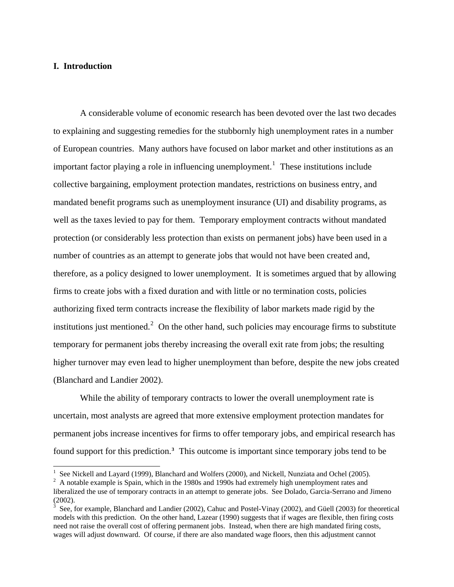## **I. Introduction**

A considerable volume of economic research has been devoted over the last two decades to explaining and suggesting remedies for the stubbornly high unemployment rates in a number of European countries. Many authors have focused on labor market and other institutions as an important factor playing a role in influencing unemployment.<sup>[1](#page-2-0)</sup> These institutions include collective bargaining, employment protection mandates, restrictions on business entry, and mandated benefit programs such as unemployment insurance (UI) and disability programs, as well as the taxes levied to pay for them. Temporary employment contracts without mandated protection (or considerably less protection than exists on permanent jobs) have been used in a number of countries as an attempt to generate jobs that would not have been created and, therefore, as a policy designed to lower unemployment. It is sometimes argued that by allowing firms to create jobs with a fixed duration and with little or no termination costs, policies authorizing fixed term contracts increase the flexibility of labor markets made rigid by the institutions just mentioned.<sup>[2](#page-2-1)</sup> On the other hand, such policies may encourage firms to substitute temporary for permanent jobs thereby increasing the overall exit rate from jobs; the resulting higher turnover may even lead to higher unemployment than before, despite the new jobs created (Blanchard and Landier 2002).

While the ability of temporary contracts to lower the overall unemployment rate is uncertain, most analysts are agreed that more extensive employment protection mandates for permanent jobs increase incentives for firms to offer temporary jobs, and empirical research has found support for this prediction.**[3](#page-2-2)** This outcome is important since temporary jobs tend to be

<sup>&</sup>lt;sup>1</sup> See Nickell and Layard (1999), Blanchard and Wolfers (2000), and Nickell, Nunziata and Ochel (2005).

<span id="page-2-1"></span><span id="page-2-0"></span><sup>&</sup>lt;sup>2</sup> A notable example is Spain, which in the 1980s and 1990s had extremely high unemployment rates and liberalized the use of temporary contracts in an attempt to generate jobs. See Dolado, Garcia-Serrano and Jimeno (2002).

<span id="page-2-2"></span><sup>&</sup>lt;sup>3</sup> See, for example, Blanchard and Landier (2002), Cahuc and Postel-Vinay (2002), and Güell (2003) for theoretical models with this prediction. On the other hand, Lazear (1990) suggests that if wages are flexible, then firing costs need not raise the overall cost of offering permanent jobs. Instead, when there are high mandated firing costs, wages will adjust downward. Of course, if there are also mandated wage floors, then this adjustment cannot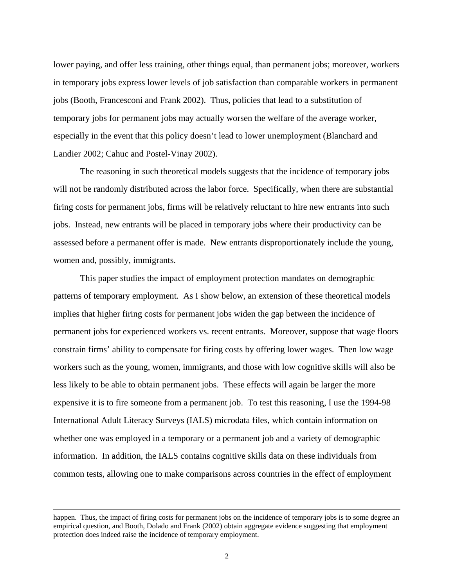lower paying, and offer less training, other things equal, than permanent jobs; moreover, workers in temporary jobs express lower levels of job satisfaction than comparable workers in permanent jobs (Booth, Francesconi and Frank 2002). Thus, policies that lead to a substitution of temporary jobs for permanent jobs may actually worsen the welfare of the average worker, especially in the event that this policy doesn't lead to lower unemployment (Blanchard and Landier 2002; Cahuc and Postel-Vinay 2002).

The reasoning in such theoretical models suggests that the incidence of temporary jobs will not be randomly distributed across the labor force. Specifically, when there are substantial firing costs for permanent jobs, firms will be relatively reluctant to hire new entrants into such jobs. Instead, new entrants will be placed in temporary jobs where their productivity can be assessed before a permanent offer is made. New entrants disproportionately include the young, women and, possibly, immigrants.

This paper studies the impact of employment protection mandates on demographic patterns of temporary employment. As I show below, an extension of these theoretical models implies that higher firing costs for permanent jobs widen the gap between the incidence of permanent jobs for experienced workers vs. recent entrants. Moreover, suppose that wage floors constrain firms' ability to compensate for firing costs by offering lower wages. Then low wage workers such as the young, women, immigrants, and those with low cognitive skills will also be less likely to be able to obtain permanent jobs. These effects will again be larger the more expensive it is to fire someone from a permanent job. To test this reasoning, I use the 1994-98 International Adult Literacy Surveys (IALS) microdata files, which contain information on whether one was employed in a temporary or a permanent job and a variety of demographic information. In addition, the IALS contains cognitive skills data on these individuals from common tests, allowing one to make comparisons across countries in the effect of employment

 $\overline{a}$ 

happen. Thus, the impact of firing costs for permanent jobs on the incidence of temporary jobs is to some degree an empirical question, and Booth, Dolado and Frank (2002) obtain aggregate evidence suggesting that employment protection does indeed raise the incidence of temporary employment.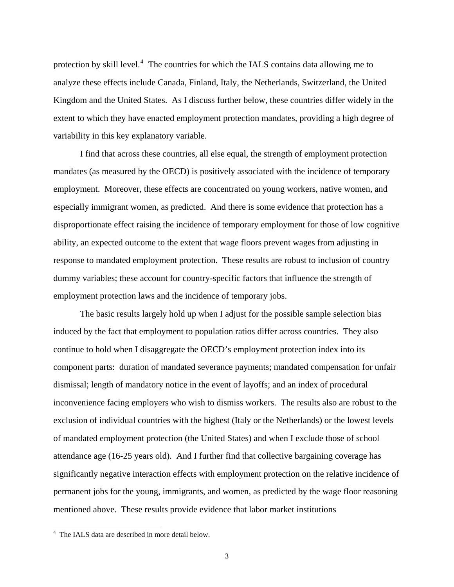protection by skill level.<sup>[4](#page-4-0)</sup> The countries for which the IALS contains data allowing me to analyze these effects include Canada, Finland, Italy, the Netherlands, Switzerland, the United Kingdom and the United States. As I discuss further below, these countries differ widely in the extent to which they have enacted employment protection mandates, providing a high degree of variability in this key explanatory variable.

I find that across these countries, all else equal, the strength of employment protection mandates (as measured by the OECD) is positively associated with the incidence of temporary employment. Moreover, these effects are concentrated on young workers, native women, and especially immigrant women, as predicted. And there is some evidence that protection has a disproportionate effect raising the incidence of temporary employment for those of low cognitive ability, an expected outcome to the extent that wage floors prevent wages from adjusting in response to mandated employment protection. These results are robust to inclusion of country dummy variables; these account for country-specific factors that influence the strength of employment protection laws and the incidence of temporary jobs.

The basic results largely hold up when I adjust for the possible sample selection bias induced by the fact that employment to population ratios differ across countries. They also continue to hold when I disaggregate the OECD's employment protection index into its component parts: duration of mandated severance payments; mandated compensation for unfair dismissal; length of mandatory notice in the event of layoffs; and an index of procedural inconvenience facing employers who wish to dismiss workers. The results also are robust to the exclusion of individual countries with the highest (Italy or the Netherlands) or the lowest levels of mandated employment protection (the United States) and when I exclude those of school attendance age (16-25 years old). And I further find that collective bargaining coverage has significantly negative interaction effects with employment protection on the relative incidence of permanent jobs for the young, immigrants, and women, as predicted by the wage floor reasoning mentioned above. These results provide evidence that labor market institutions

<span id="page-4-0"></span> 4 The IALS data are described in more detail below.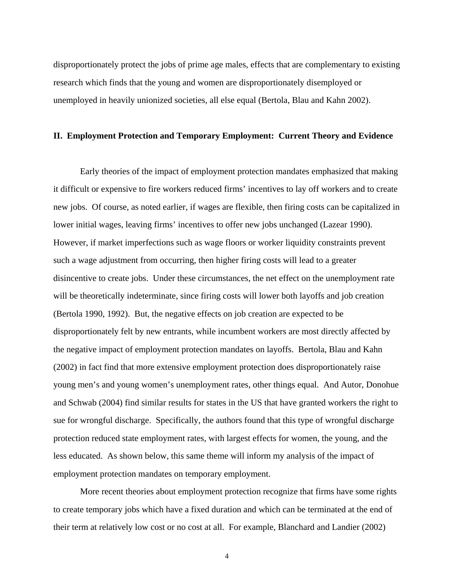disproportionately protect the jobs of prime age males, effects that are complementary to existing research which finds that the young and women are disproportionately disemployed or unemployed in heavily unionized societies, all else equal (Bertola, Blau and Kahn 2002).

#### **II. Employment Protection and Temporary Employment: Current Theory and Evidence**

 Early theories of the impact of employment protection mandates emphasized that making it difficult or expensive to fire workers reduced firms' incentives to lay off workers and to create new jobs. Of course, as noted earlier, if wages are flexible, then firing costs can be capitalized in lower initial wages, leaving firms' incentives to offer new jobs unchanged (Lazear 1990). However, if market imperfections such as wage floors or worker liquidity constraints prevent such a wage adjustment from occurring, then higher firing costs will lead to a greater disincentive to create jobs. Under these circumstances, the net effect on the unemployment rate will be theoretically indeterminate, since firing costs will lower both layoffs and job creation (Bertola 1990, 1992). But, the negative effects on job creation are expected to be disproportionately felt by new entrants, while incumbent workers are most directly affected by the negative impact of employment protection mandates on layoffs. Bertola, Blau and Kahn (2002) in fact find that more extensive employment protection does disproportionately raise young men's and young women's unemployment rates, other things equal. And Autor, Donohue and Schwab (2004) find similar results for states in the US that have granted workers the right to sue for wrongful discharge. Specifically, the authors found that this type of wrongful discharge protection reduced state employment rates, with largest effects for women, the young, and the less educated. As shown below, this same theme will inform my analysis of the impact of employment protection mandates on temporary employment.

 More recent theories about employment protection recognize that firms have some rights to create temporary jobs which have a fixed duration and which can be terminated at the end of their term at relatively low cost or no cost at all. For example, Blanchard and Landier (2002)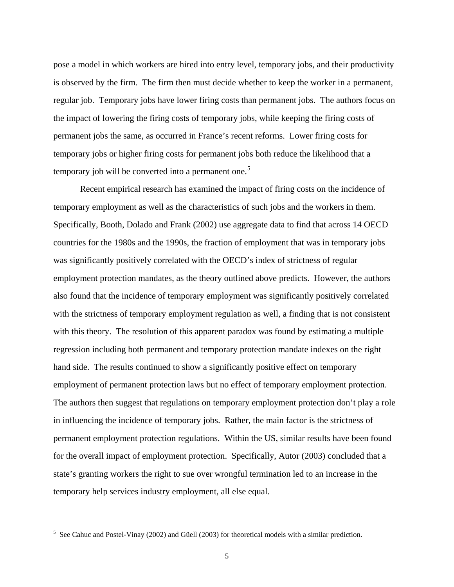pose a model in which workers are hired into entry level, temporary jobs, and their productivity is observed by the firm. The firm then must decide whether to keep the worker in a permanent, regular job. Temporary jobs have lower firing costs than permanent jobs. The authors focus on the impact of lowering the firing costs of temporary jobs, while keeping the firing costs of permanent jobs the same, as occurred in France's recent reforms. Lower firing costs for temporary jobs or higher firing costs for permanent jobs both reduce the likelihood that a temporary job will be converted into a permanent one.<sup>[5](#page-6-0)</sup>

 Recent empirical research has examined the impact of firing costs on the incidence of temporary employment as well as the characteristics of such jobs and the workers in them. Specifically, Booth, Dolado and Frank (2002) use aggregate data to find that across 14 OECD countries for the 1980s and the 1990s, the fraction of employment that was in temporary jobs was significantly positively correlated with the OECD's index of strictness of regular employment protection mandates, as the theory outlined above predicts. However, the authors also found that the incidence of temporary employment was significantly positively correlated with the strictness of temporary employment regulation as well, a finding that is not consistent with this theory. The resolution of this apparent paradox was found by estimating a multiple regression including both permanent and temporary protection mandate indexes on the right hand side. The results continued to show a significantly positive effect on temporary employment of permanent protection laws but no effect of temporary employment protection. The authors then suggest that regulations on temporary employment protection don't play a role in influencing the incidence of temporary jobs. Rather, the main factor is the strictness of permanent employment protection regulations. Within the US, similar results have been found for the overall impact of employment protection. Specifically, Autor (2003) concluded that a state's granting workers the right to sue over wrongful termination led to an increase in the temporary help services industry employment, all else equal.

<span id="page-6-0"></span><sup>&</sup>lt;sup>5</sup> See Cahuc and Postel-Vinay (2002) and Güell (2003) for theoretical models with a similar prediction.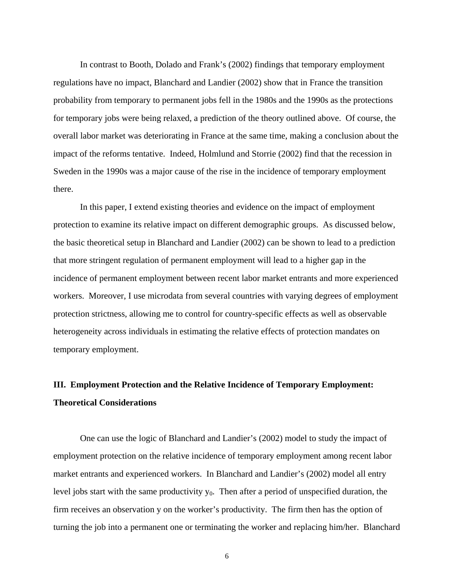In contrast to Booth, Dolado and Frank's (2002) findings that temporary employment regulations have no impact, Blanchard and Landier (2002) show that in France the transition probability from temporary to permanent jobs fell in the 1980s and the 1990s as the protections for temporary jobs were being relaxed, a prediction of the theory outlined above. Of course, the overall labor market was deteriorating in France at the same time, making a conclusion about the impact of the reforms tentative. Indeed, Holmlund and Storrie (2002) find that the recession in Sweden in the 1990s was a major cause of the rise in the incidence of temporary employment there.

 In this paper, I extend existing theories and evidence on the impact of employment protection to examine its relative impact on different demographic groups. As discussed below, the basic theoretical setup in Blanchard and Landier (2002) can be shown to lead to a prediction that more stringent regulation of permanent employment will lead to a higher gap in the incidence of permanent employment between recent labor market entrants and more experienced workers. Moreover, I use microdata from several countries with varying degrees of employment protection strictness, allowing me to control for country-specific effects as well as observable heterogeneity across individuals in estimating the relative effects of protection mandates on temporary employment.

## **III. Employment Protection and the Relative Incidence of Temporary Employment: Theoretical Considerations**

One can use the logic of Blanchard and Landier's (2002) model to study the impact of employment protection on the relative incidence of temporary employment among recent labor market entrants and experienced workers. In Blanchard and Landier's (2002) model all entry level jobs start with the same productivity  $y_0$ . Then after a period of unspecified duration, the firm receives an observation y on the worker's productivity. The firm then has the option of turning the job into a permanent one or terminating the worker and replacing him/her. Blanchard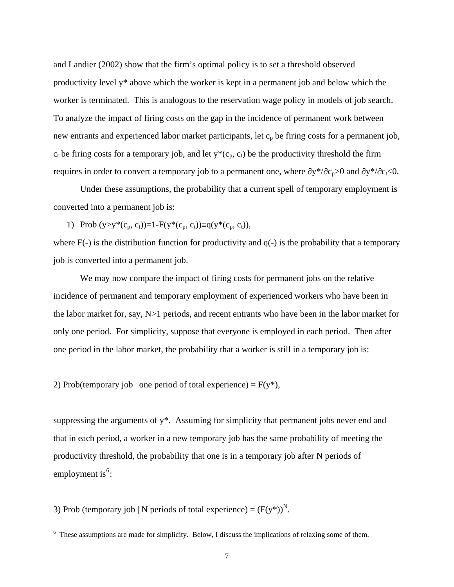and Landier (2002) show that the firm's optimal policy is to set a threshold observed productivity level y\* above which the worker is kept in a permanent job and below which the worker is terminated. This is analogous to the reservation wage policy in models of job search. To analyze the impact of firing costs on the gap in the incidence of permanent work between new entrants and experienced labor market participants, let  $c_p$  be firing costs for a permanent job,  $c_t$  be firing costs for a temporary job, and let  $y^*(c_p, c_t)$  be the productivity threshold the firm requires in order to convert a temporary job to a permanent one, where  $\partial y^*/\partial c_p>0$  and  $\partial y^*/\partial c_t<0$ .

Under these assumptions, the probability that a current spell of temporary employment is converted into a permanent job is:

1) Prob  $(y>y^*(c_p, c_t))=1-F(y^*(c_p, c_t))\equiv q(y^*(c_p, c_t)),$ 

where  $F(-)$  is the distribution function for productivity and  $q(-)$  is the probability that a temporary job is converted into a permanent job.

 We may now compare the impact of firing costs for permanent jobs on the relative incidence of permanent and temporary employment of experienced workers who have been in the labor market for, say, N>1 periods, and recent entrants who have been in the labor market for only one period. For simplicity, suppose that everyone is employed in each period. Then after one period in the labor market, the probability that a worker is still in a temporary job is:

2) Prob(temporary job | one period of total experience) =  $F(y^*)$ ,

suppressing the arguments of y<sup>\*</sup>. Assuming for simplicity that permanent jobs never end and that in each period, a worker in a new temporary job has the same probability of meeting the productivity threshold, the probability that one is in a temporary job after N periods of employment is<sup>[6](#page-8-0)</sup>:

3) Prob (temporary job | N periods of total experience) =  $(F(y^*))^N$ .

<span id="page-8-0"></span><sup>&</sup>lt;sup>6</sup> These assumptions are made for simplicity. Below, I discuss the implications of relaxing some of them.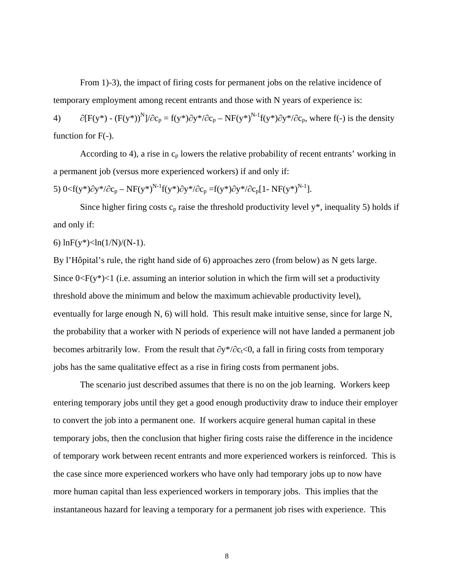From 1)-3), the impact of firing costs for permanent jobs on the relative incidence of temporary employment among recent entrants and those with N years of experience is:

4)  $\partial [F(y^*) - (F(y^*))^N]/\partial c_p = f(y^*)\partial y^* / \partial c_p - NF(y^*)^{N-1}f(y^*)\partial y^* / \partial c_p$ , where f(-) is the density function for  $F(-)$ .

According to 4), a rise in  $c_p$  lowers the relative probability of recent entrants' working in a permanent job (versus more experienced workers) if and only if:

5) 
$$
0 < f(y^*) \partial y^* / \partial c_p - NF(y^*)^{N-1} f(y^*) \partial y^* / \partial c_p = f(y^*) \partial y^* / \partial c_p [1 - NF(y^*)^{N-1}].
$$

Since higher firing costs  $c_p$  raise the threshold productivity level y\*, inequality 5) holds if and only if:

### 6)  $\ln F(y^*)$  <  $\ln(1/N)/(N-1)$ .

By l'Hôpital's rule, the right hand side of 6) approaches zero (from below) as N gets large. Since  $0 \le F(y^*) \le 1$  (i.e. assuming an interior solution in which the firm will set a productivity threshold above the minimum and below the maximum achievable productivity level), eventually for large enough N, 6) will hold. This result make intuitive sense, since for large N, the probability that a worker with N periods of experience will not have landed a permanent job becomes arbitrarily low. From the result that  $\partial y^*/\partial c_t < 0$ , a fall in firing costs from temporary jobs has the same qualitative effect as a rise in firing costs from permanent jobs.

 The scenario just described assumes that there is no on the job learning. Workers keep entering temporary jobs until they get a good enough productivity draw to induce their employer to convert the job into a permanent one. If workers acquire general human capital in these temporary jobs, then the conclusion that higher firing costs raise the difference in the incidence of temporary work between recent entrants and more experienced workers is reinforced. This is the case since more experienced workers who have only had temporary jobs up to now have more human capital than less experienced workers in temporary jobs. This implies that the instantaneous hazard for leaving a temporary for a permanent job rises with experience. This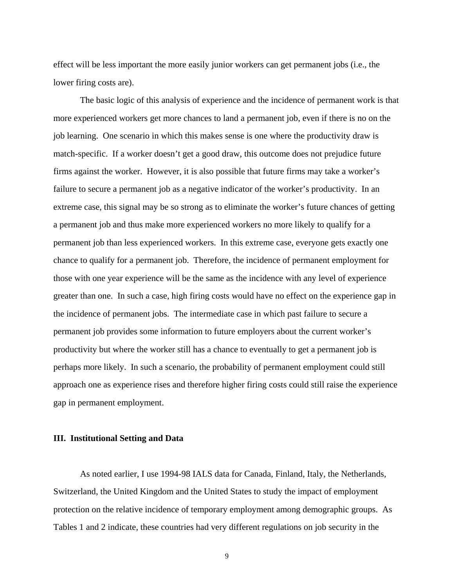effect will be less important the more easily junior workers can get permanent jobs (i.e., the lower firing costs are).

The basic logic of this analysis of experience and the incidence of permanent work is that more experienced workers get more chances to land a permanent job, even if there is no on the job learning. One scenario in which this makes sense is one where the productivity draw is match-specific. If a worker doesn't get a good draw, this outcome does not prejudice future firms against the worker. However, it is also possible that future firms may take a worker's failure to secure a permanent job as a negative indicator of the worker's productivity. In an extreme case, this signal may be so strong as to eliminate the worker's future chances of getting a permanent job and thus make more experienced workers no more likely to qualify for a permanent job than less experienced workers. In this extreme case, everyone gets exactly one chance to qualify for a permanent job. Therefore, the incidence of permanent employment for those with one year experience will be the same as the incidence with any level of experience greater than one. In such a case, high firing costs would have no effect on the experience gap in the incidence of permanent jobs. The intermediate case in which past failure to secure a permanent job provides some information to future employers about the current worker's productivity but where the worker still has a chance to eventually to get a permanent job is perhaps more likely. In such a scenario, the probability of permanent employment could still approach one as experience rises and therefore higher firing costs could still raise the experience gap in permanent employment.

#### **III. Institutional Setting and Data**

 As noted earlier, I use 1994-98 IALS data for Canada, Finland, Italy, the Netherlands, Switzerland, the United Kingdom and the United States to study the impact of employment protection on the relative incidence of temporary employment among demographic groups. As Tables 1 and 2 indicate, these countries had very different regulations on job security in the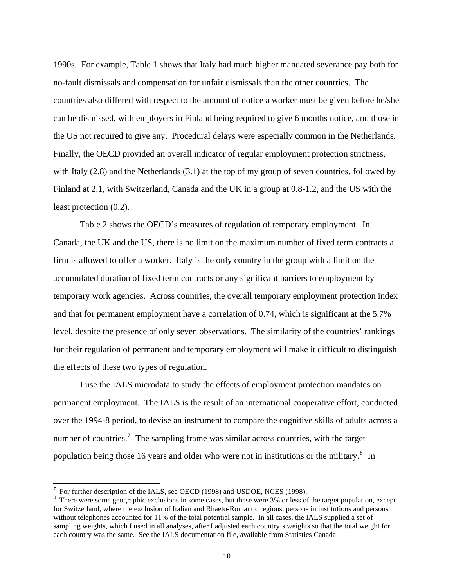1990s. For example, Table 1 shows that Italy had much higher mandated severance pay both for no-fault dismissals and compensation for unfair dismissals than the other countries. The countries also differed with respect to the amount of notice a worker must be given before he/she can be dismissed, with employers in Finland being required to give 6 months notice, and those in the US not required to give any. Procedural delays were especially common in the Netherlands. Finally, the OECD provided an overall indicator of regular employment protection strictness, with Italy (2.8) and the Netherlands (3.1) at the top of my group of seven countries, followed by Finland at 2.1, with Switzerland, Canada and the UK in a group at 0.8-1.2, and the US with the least protection (0.2).

 Table 2 shows the OECD's measures of regulation of temporary employment. In Canada, the UK and the US, there is no limit on the maximum number of fixed term contracts a firm is allowed to offer a worker. Italy is the only country in the group with a limit on the accumulated duration of fixed term contracts or any significant barriers to employment by temporary work agencies. Across countries, the overall temporary employment protection index and that for permanent employment have a correlation of 0.74, which is significant at the 5.7% level, despite the presence of only seven observations. The similarity of the countries' rankings for their regulation of permanent and temporary employment will make it difficult to distinguish the effects of these two types of regulation.

I use the IALS microdata to study the effects of employment protection mandates on permanent employment. The IALS is the result of an international cooperative effort, conducted over the 1994-8 period, to devise an instrument to compare the cognitive skills of adults across a number of countries.<sup>[7](#page-11-0)</sup> The sampling frame was similar across countries, with the target population being those 16 years and older who were not in institutions or the military. $^8$  $^8$  In

 $\overline{a}$ 

 $^7$  For further description of the IALS, see OECD (1998) and USDOE, NCES (1998).

<span id="page-11-1"></span><span id="page-11-0"></span><sup>&</sup>lt;sup>8</sup> There were some geographic exclusions in some cases, but these were 3% or less of the target population, except for Switzerland, where the exclusion of Italian and Rhaeto-Romantic regions, persons in institutions and persons without telephones accounted for 11% of the total potential sample. In all cases, the IALS supplied a set of sampling weights, which I used in all analyses, after I adjusted each country's weights so that the total weight for each country was the same. See the IALS documentation file, available from Statistics Canada.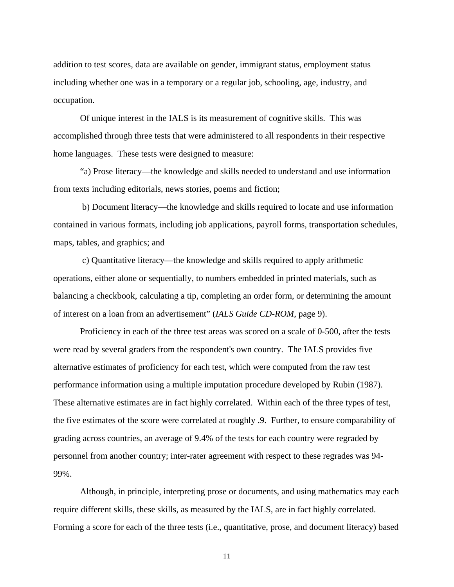addition to test scores, data are available on gender, immigrant status, employment status including whether one was in a temporary or a regular job, schooling, age, industry, and occupation.

Of unique interest in the IALS is its measurement of cognitive skills. This was accomplished through three tests that were administered to all respondents in their respective home languages. These tests were designed to measure:

"a) Prose literacy—the knowledge and skills needed to understand and use information from texts including editorials, news stories, poems and fiction;

 b) Document literacy—the knowledge and skills required to locate and use information contained in various formats, including job applications, payroll forms, transportation schedules, maps, tables, and graphics; and

 c) Quantitative literacy—the knowledge and skills required to apply arithmetic operations, either alone or sequentially, to numbers embedded in printed materials, such as balancing a checkbook, calculating a tip, completing an order form, or determining the amount of interest on a loan from an advertisement" (*IALS Guide CD-ROM*, page 9).

Proficiency in each of the three test areas was scored on a scale of 0-500, after the tests were read by several graders from the respondent's own country. The IALS provides five alternative estimates of proficiency for each test, which were computed from the raw test performance information using a multiple imputation procedure developed by Rubin (1987). These alternative estimates are in fact highly correlated. Within each of the three types of test, the five estimates of the score were correlated at roughly .9. Further, to ensure comparability of grading across countries, an average of 9.4% of the tests for each country were regraded by personnel from another country; inter-rater agreement with respect to these regrades was 94- 99%.

Although, in principle, interpreting prose or documents, and using mathematics may each require different skills, these skills, as measured by the IALS, are in fact highly correlated. Forming a score for each of the three tests (i.e., quantitative, prose, and document literacy) based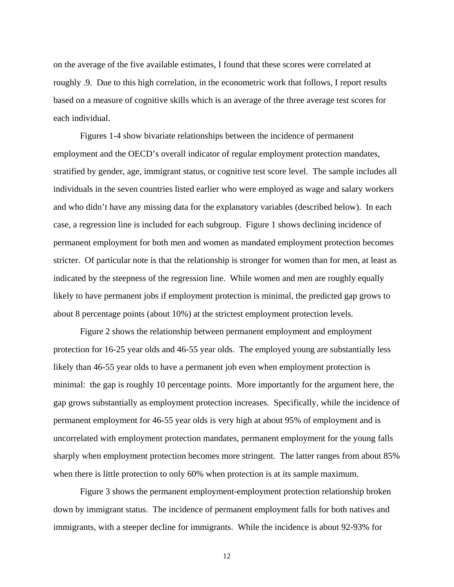on the average of the five available estimates, I found that these scores were correlated at roughly .9. Due to this high correlation, in the econometric work that follows, I report results based on a measure of cognitive skills which is an average of the three average test scores for each individual.

 Figures 1-4 show bivariate relationships between the incidence of permanent employment and the OECD's overall indicator of regular employment protection mandates, stratified by gender, age, immigrant status, or cognitive test score level. The sample includes all individuals in the seven countries listed earlier who were employed as wage and salary workers and who didn't have any missing data for the explanatory variables (described below). In each case, a regression line is included for each subgroup. Figure 1 shows declining incidence of permanent employment for both men and women as mandated employment protection becomes stricter. Of particular note is that the relationship is stronger for women than for men, at least as indicated by the steepness of the regression line. While women and men are roughly equally likely to have permanent jobs if employment protection is minimal, the predicted gap grows to about 8 percentage points (about 10%) at the strictest employment protection levels.

 Figure 2 shows the relationship between permanent employment and employment protection for 16-25 year olds and 46-55 year olds. The employed young are substantially less likely than 46-55 year olds to have a permanent job even when employment protection is minimal: the gap is roughly 10 percentage points. More importantly for the argument here, the gap grows substantially as employment protection increases. Specifically, while the incidence of permanent employment for 46-55 year olds is very high at about 95% of employment and is uncorrelated with employment protection mandates, permanent employment for the young falls sharply when employment protection becomes more stringent. The latter ranges from about 85% when there is little protection to only 60% when protection is at its sample maximum.

 Figure 3 shows the permanent employment-employment protection relationship broken down by immigrant status. The incidence of permanent employment falls for both natives and immigrants, with a steeper decline for immigrants. While the incidence is about 92-93% for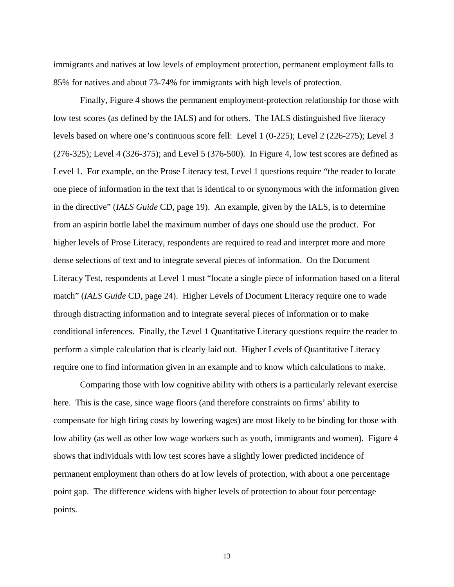immigrants and natives at low levels of employment protection, permanent employment falls to 85% for natives and about 73-74% for immigrants with high levels of protection.

 Finally, Figure 4 shows the permanent employment-protection relationship for those with low test scores (as defined by the IALS) and for others. The IALS distinguished five literacy levels based on where one's continuous score fell: Level 1 (0-225); Level 2 (226-275); Level 3 (276-325); Level 4 (326-375); and Level 5 (376-500). In Figure 4, low test scores are defined as Level 1. For example, on the Prose Literacy test, Level 1 questions require "the reader to locate one piece of information in the text that is identical to or synonymous with the information given in the directive" (*IALS Guide* CD, page 19). An example, given by the IALS, is to determine from an aspirin bottle label the maximum number of days one should use the product. For higher levels of Prose Literacy, respondents are required to read and interpret more and more dense selections of text and to integrate several pieces of information. On the Document Literacy Test, respondents at Level 1 must "locate a single piece of information based on a literal match" (*IALS Guide* CD, page 24). Higher Levels of Document Literacy require one to wade through distracting information and to integrate several pieces of information or to make conditional inferences. Finally, the Level 1 Quantitative Literacy questions require the reader to perform a simple calculation that is clearly laid out. Higher Levels of Quantitative Literacy require one to find information given in an example and to know which calculations to make.

Comparing those with low cognitive ability with others is a particularly relevant exercise here. This is the case, since wage floors (and therefore constraints on firms' ability to compensate for high firing costs by lowering wages) are most likely to be binding for those with low ability (as well as other low wage workers such as youth, immigrants and women). Figure 4 shows that individuals with low test scores have a slightly lower predicted incidence of permanent employment than others do at low levels of protection, with about a one percentage point gap. The difference widens with higher levels of protection to about four percentage points.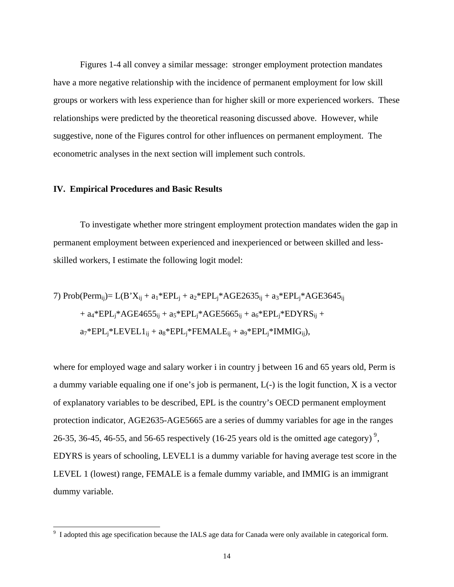Figures 1-4 all convey a similar message: stronger employment protection mandates have a more negative relationship with the incidence of permanent employment for low skill groups or workers with less experience than for higher skill or more experienced workers. These relationships were predicted by the theoretical reasoning discussed above. However, while suggestive, none of the Figures control for other influences on permanent employment. The econometric analyses in the next section will implement such controls.

#### **IV. Empirical Procedures and Basic Results**

 To investigate whether more stringent employment protection mandates widen the gap in permanent employment between experienced and inexperienced or between skilled and lessskilled workers, I estimate the following logit model:

7) Prob(Permij)= L(B'Xij + a1\*EPLj + a2\*EPLj\*AGE2635ij + a3\*EPLj\*AGE3645ij + a4\*EPLj\*AGE4655ij + a5\*EPLj\*AGE5665ij + a6\*EPLj\*EDYRSij + a7\*EPLj\*LEVEL1ij + a8\*EPLj\*FEMALEij + a9\*EPLj\*IMMIGij),

where for employed wage and salary worker i in country j between 16 and 65 years old, Perm is a dummy variable equaling one if one's job is permanent, L(-) is the logit function, X is a vector of explanatory variables to be described, EPL is the country's OECD permanent employment protection indicator, AGE2635-AGE5665 are a series of dummy variables for age in the ranges 26-35, 36-45, 46-55, and 56-65 respectively (16-25 years old is the omitted age category)<sup>[9](#page-15-0)</sup>, EDYRS is years of schooling, LEVEL1 is a dummy variable for having average test score in the LEVEL 1 (lowest) range, FEMALE is a female dummy variable, and IMMIG is an immigrant dummy variable.

<span id="page-15-0"></span><sup>&</sup>lt;sup>9</sup> I adopted this age specification because the IALS age data for Canada were only available in categorical form.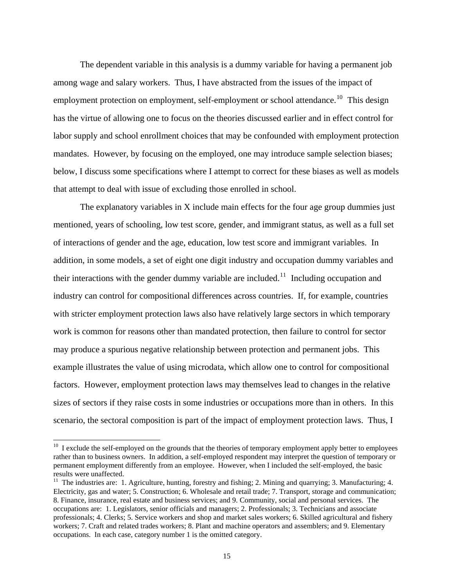The dependent variable in this analysis is a dummy variable for having a permanent job among wage and salary workers. Thus, I have abstracted from the issues of the impact of employment protection on employment, self-employment or school attendance.<sup>[10](#page-16-0)</sup> This design has the virtue of allowing one to focus on the theories discussed earlier and in effect control for labor supply and school enrollment choices that may be confounded with employment protection mandates. However, by focusing on the employed, one may introduce sample selection biases; below, I discuss some specifications where I attempt to correct for these biases as well as models that attempt to deal with issue of excluding those enrolled in school.

The explanatory variables in X include main effects for the four age group dummies just mentioned, years of schooling, low test score, gender, and immigrant status, as well as a full set of interactions of gender and the age, education, low test score and immigrant variables. In addition, in some models, a set of eight one digit industry and occupation dummy variables and their interactions with the gender dummy variable are included.<sup>[11](#page-16-1)</sup> Including occupation and industry can control for compositional differences across countries. If, for example, countries with stricter employment protection laws also have relatively large sectors in which temporary work is common for reasons other than mandated protection, then failure to control for sector may produce a spurious negative relationship between protection and permanent jobs. This example illustrates the value of using microdata, which allow one to control for compositional factors. However, employment protection laws may themselves lead to changes in the relative sizes of sectors if they raise costs in some industries or occupations more than in others. In this scenario, the sectoral composition is part of the impact of employment protection laws. Thus, I

 $\overline{a}$ 

<sup>&</sup>lt;sup>10</sup> I exclude the self-employed on the grounds that the theories of temporary employment apply better to employees rather than to business owners. In addition, a self-employed respondent may interpret the question of temporary or permanent employment differently from an employee. However, when I included the self-employed, the basic results were unaffected.

<span id="page-16-1"></span><span id="page-16-0"></span><sup>&</sup>lt;sup>11</sup> The industries are: 1. Agriculture, hunting, forestry and fishing; 2. Mining and quarrying; 3. Manufacturing; 4. Electricity, gas and water; 5. Construction; 6. Wholesale and retail trade; 7. Transport, storage and communication; 8. Finance, insurance, real estate and business services; and 9. Community, social and personal services. The occupations are: 1. Legislators, senior officials and managers; 2. Professionals; 3. Technicians and associate professionals; 4. Clerks; 5. Service workers and shop and market sales workers; 6. Skilled agricultural and fishery workers; 7. Craft and related trades workers; 8. Plant and machine operators and assemblers; and 9. Elementary occupations. In each case, category number 1 is the omitted category.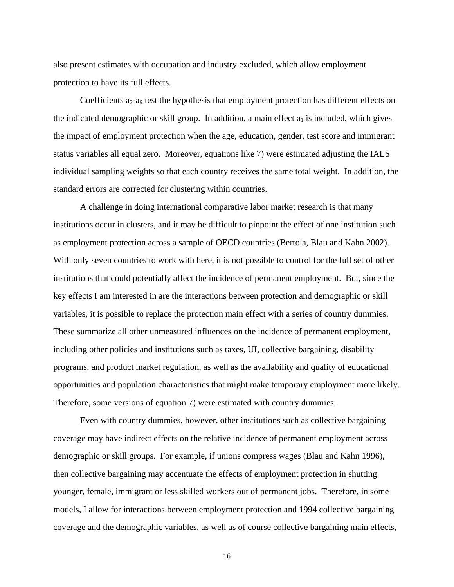also present estimates with occupation and industry excluded, which allow employment protection to have its full effects.

Coefficients  $a_2-a_9$  test the hypothesis that employment protection has different effects on the indicated demographic or skill group. In addition, a main effect  $a_1$  is included, which gives the impact of employment protection when the age, education, gender, test score and immigrant status variables all equal zero. Moreover, equations like 7) were estimated adjusting the IALS individual sampling weights so that each country receives the same total weight. In addition, the standard errors are corrected for clustering within countries.

A challenge in doing international comparative labor market research is that many institutions occur in clusters, and it may be difficult to pinpoint the effect of one institution such as employment protection across a sample of OECD countries (Bertola, Blau and Kahn 2002). With only seven countries to work with here, it is not possible to control for the full set of other institutions that could potentially affect the incidence of permanent employment. But, since the key effects I am interested in are the interactions between protection and demographic or skill variables, it is possible to replace the protection main effect with a series of country dummies. These summarize all other unmeasured influences on the incidence of permanent employment, including other policies and institutions such as taxes, UI, collective bargaining, disability programs, and product market regulation, as well as the availability and quality of educational opportunities and population characteristics that might make temporary employment more likely. Therefore, some versions of equation 7) were estimated with country dummies.

Even with country dummies, however, other institutions such as collective bargaining coverage may have indirect effects on the relative incidence of permanent employment across demographic or skill groups. For example, if unions compress wages (Blau and Kahn 1996), then collective bargaining may accentuate the effects of employment protection in shutting younger, female, immigrant or less skilled workers out of permanent jobs. Therefore, in some models, I allow for interactions between employment protection and 1994 collective bargaining coverage and the demographic variables, as well as of course collective bargaining main effects,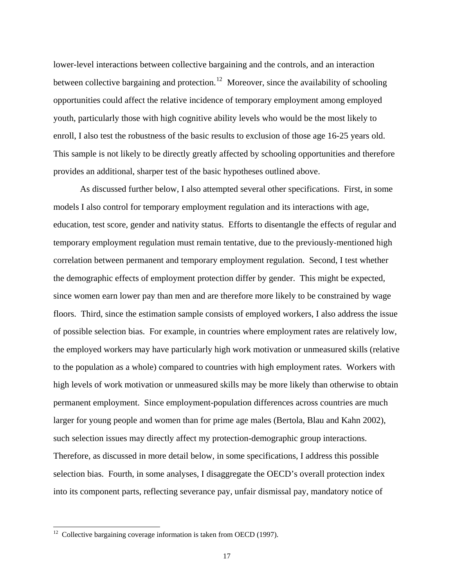lower-level interactions between collective bargaining and the controls, and an interaction between collective bargaining and protection.<sup>[12](#page-18-0)</sup> Moreover, since the availability of schooling opportunities could affect the relative incidence of temporary employment among employed youth, particularly those with high cognitive ability levels who would be the most likely to enroll, I also test the robustness of the basic results to exclusion of those age 16-25 years old. This sample is not likely to be directly greatly affected by schooling opportunities and therefore provides an additional, sharper test of the basic hypotheses outlined above.

As discussed further below, I also attempted several other specifications. First, in some models I also control for temporary employment regulation and its interactions with age, education, test score, gender and nativity status. Efforts to disentangle the effects of regular and temporary employment regulation must remain tentative, due to the previously-mentioned high correlation between permanent and temporary employment regulation. Second, I test whether the demographic effects of employment protection differ by gender. This might be expected, since women earn lower pay than men and are therefore more likely to be constrained by wage floors. Third, since the estimation sample consists of employed workers, I also address the issue of possible selection bias. For example, in countries where employment rates are relatively low, the employed workers may have particularly high work motivation or unmeasured skills (relative to the population as a whole) compared to countries with high employment rates. Workers with high levels of work motivation or unmeasured skills may be more likely than otherwise to obtain permanent employment. Since employment-population differences across countries are much larger for young people and women than for prime age males (Bertola, Blau and Kahn 2002), such selection issues may directly affect my protection-demographic group interactions. Therefore, as discussed in more detail below, in some specifications, I address this possible selection bias. Fourth, in some analyses, I disaggregate the OECD's overall protection index into its component parts, reflecting severance pay, unfair dismissal pay, mandatory notice of

 $\overline{a}$ 

<span id="page-18-0"></span> $12$  Collective bargaining coverage information is taken from OECD (1997).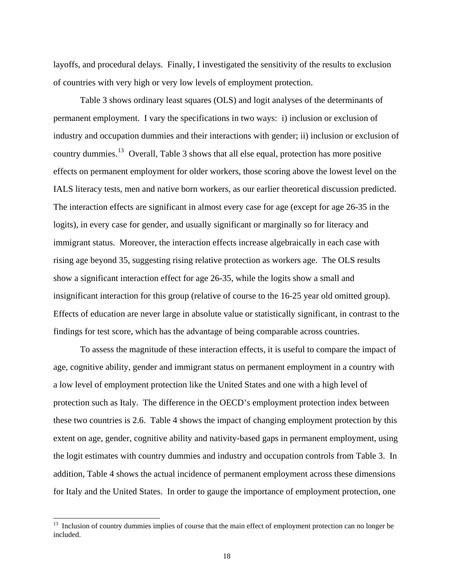layoffs, and procedural delays. Finally, I investigated the sensitivity of the results to exclusion of countries with very high or very low levels of employment protection.

 Table 3 shows ordinary least squares (OLS) and logit analyses of the determinants of permanent employment. I vary the specifications in two ways: i) inclusion or exclusion of industry and occupation dummies and their interactions with gender; ii) inclusion or exclusion of country dummies.<sup>[13](#page-19-0)</sup> Overall, Table 3 shows that all else equal, protection has more positive effects on permanent employment for older workers, those scoring above the lowest level on the IALS literacy tests, men and native born workers, as our earlier theoretical discussion predicted. The interaction effects are significant in almost every case for age (except for age 26-35 in the logits), in every case for gender, and usually significant or marginally so for literacy and immigrant status. Moreover, the interaction effects increase algebraically in each case with rising age beyond 35, suggesting rising relative protection as workers age. The OLS results show a significant interaction effect for age 26-35, while the logits show a small and insignificant interaction for this group (relative of course to the 16-25 year old omitted group). Effects of education are never large in absolute value or statistically significant, in contrast to the findings for test score, which has the advantage of being comparable across countries.

 To assess the magnitude of these interaction effects, it is useful to compare the impact of age, cognitive ability, gender and immigrant status on permanent employment in a country with a low level of employment protection like the United States and one with a high level of protection such as Italy. The difference in the OECD's employment protection index between these two countries is 2.6. Table 4 shows the impact of changing employment protection by this extent on age, gender, cognitive ability and nativity-based gaps in permanent employment, using the logit estimates with country dummies and industry and occupation controls from Table 3. In addition, Table 4 shows the actual incidence of permanent employment across these dimensions for Italy and the United States. In order to gauge the importance of employment protection, one

 $\overline{a}$ 

<span id="page-19-0"></span><sup>&</sup>lt;sup>13</sup> Inclusion of country dummies implies of course that the main effect of employment protection can no longer be included.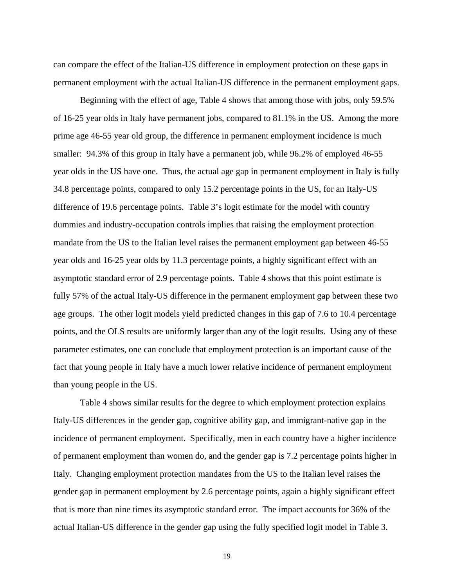can compare the effect of the Italian-US difference in employment protection on these gaps in permanent employment with the actual Italian-US difference in the permanent employment gaps.

Beginning with the effect of age, Table 4 shows that among those with jobs, only 59.5% of 16-25 year olds in Italy have permanent jobs, compared to 81.1% in the US. Among the more prime age 46-55 year old group, the difference in permanent employment incidence is much smaller: 94.3% of this group in Italy have a permanent job, while 96.2% of employed 46-55 year olds in the US have one. Thus, the actual age gap in permanent employment in Italy is fully 34.8 percentage points, compared to only 15.2 percentage points in the US, for an Italy-US difference of 19.6 percentage points. Table 3's logit estimate for the model with country dummies and industry-occupation controls implies that raising the employment protection mandate from the US to the Italian level raises the permanent employment gap between 46-55 year olds and 16-25 year olds by 11.3 percentage points, a highly significant effect with an asymptotic standard error of 2.9 percentage points. Table 4 shows that this point estimate is fully 57% of the actual Italy-US difference in the permanent employment gap between these two age groups. The other logit models yield predicted changes in this gap of 7.6 to 10.4 percentage points, and the OLS results are uniformly larger than any of the logit results. Using any of these parameter estimates, one can conclude that employment protection is an important cause of the fact that young people in Italy have a much lower relative incidence of permanent employment than young people in the US.

Table 4 shows similar results for the degree to which employment protection explains Italy-US differences in the gender gap, cognitive ability gap, and immigrant-native gap in the incidence of permanent employment. Specifically, men in each country have a higher incidence of permanent employment than women do, and the gender gap is 7.2 percentage points higher in Italy. Changing employment protection mandates from the US to the Italian level raises the gender gap in permanent employment by 2.6 percentage points, again a highly significant effect that is more than nine times its asymptotic standard error. The impact accounts for 36% of the actual Italian-US difference in the gender gap using the fully specified logit model in Table 3.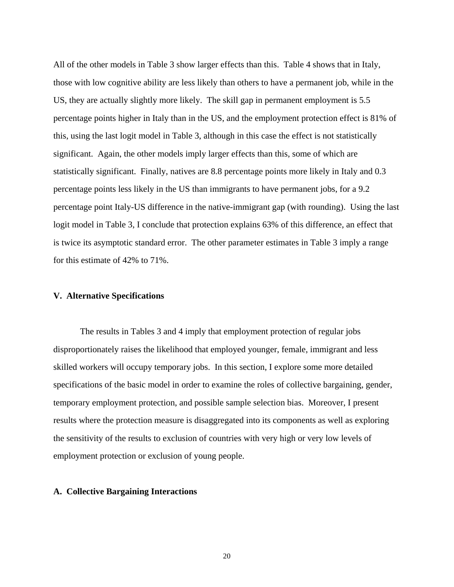All of the other models in Table 3 show larger effects than this. Table 4 shows that in Italy, those with low cognitive ability are less likely than others to have a permanent job, while in the US, they are actually slightly more likely. The skill gap in permanent employment is 5.5 percentage points higher in Italy than in the US, and the employment protection effect is 81% of this, using the last logit model in Table 3, although in this case the effect is not statistically significant. Again, the other models imply larger effects than this, some of which are statistically significant. Finally, natives are 8.8 percentage points more likely in Italy and 0.3 percentage points less likely in the US than immigrants to have permanent jobs, for a 9.2 percentage point Italy-US difference in the native-immigrant gap (with rounding). Using the last logit model in Table 3, I conclude that protection explains 63% of this difference, an effect that is twice its asymptotic standard error. The other parameter estimates in Table 3 imply a range for this estimate of 42% to 71%.

#### **V. Alternative Specifications**

 The results in Tables 3 and 4 imply that employment protection of regular jobs disproportionately raises the likelihood that employed younger, female, immigrant and less skilled workers will occupy temporary jobs. In this section, I explore some more detailed specifications of the basic model in order to examine the roles of collective bargaining, gender, temporary employment protection, and possible sample selection bias. Moreover, I present results where the protection measure is disaggregated into its components as well as exploring the sensitivity of the results to exclusion of countries with very high or very low levels of employment protection or exclusion of young people.

#### **A. Collective Bargaining Interactions**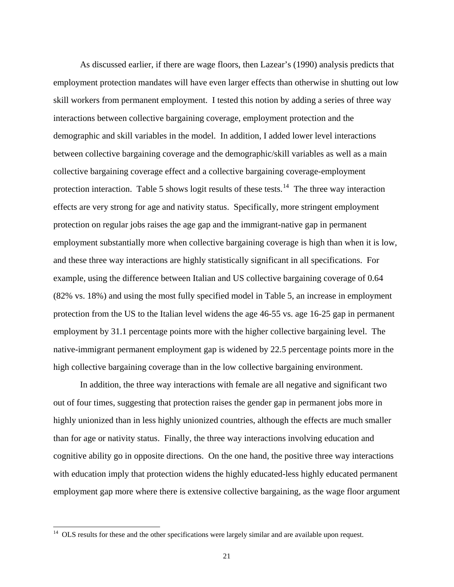<span id="page-22-0"></span> As discussed earlier, if there are wage floors, then Lazear's (1990) analysis predicts that employment protection mandates will have even larger effects than otherwise in shutting out low skill workers from permanent employment. I tested this notion by adding a series of three way interactions between collective bargaining coverage, employment protection and the demographic and skill variables in the model. In addition, I added lower level interactions between collective bargaining coverage and the demographic/skill variables as well as a main collective bargaining coverage effect and a collective bargaining coverage-employment protection interaction. Table 5 shows logit results of these tests.<sup>[14](#page-22-0)</sup> The three way interaction effects are very strong for age and nativity status. Specifically, more stringent employment protection on regular jobs raises the age gap and the immigrant-native gap in permanent employment substantially more when collective bargaining coverage is high than when it is low, and these three way interactions are highly statistically significant in all specifications. For example, using the difference between Italian and US collective bargaining coverage of 0.64 (82% vs. 18%) and using the most fully specified model in Table 5, an increase in employment protection from the US to the Italian level widens the age 46-55 vs. age 16-25 gap in permanent employment by 31.1 percentage points more with the higher collective bargaining level. The native-immigrant permanent employment gap is widened by 22.5 percentage points more in the high collective bargaining coverage than in the low collective bargaining environment.

In addition, the three way interactions with female are all negative and significant two out of four times, suggesting that protection raises the gender gap in permanent jobs more in highly unionized than in less highly unionized countries, although the effects are much smaller than for age or nativity status. Finally, the three way interactions involving education and cognitive ability go in opposite directions. On the one hand, the positive three way interactions with education imply that protection widens the highly educated-less highly educated permanent employment gap more where there is extensive collective bargaining, as the wage floor argument

 $\overline{\phantom{a}}$ 

 $14$  OLS results for these and the other specifications were largely similar and are available upon request.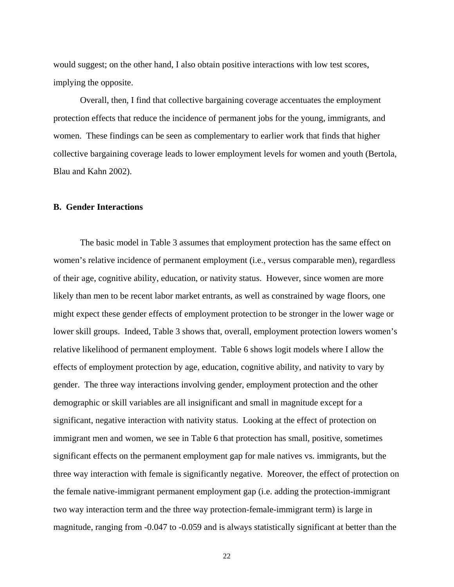would suggest; on the other hand, I also obtain positive interactions with low test scores, implying the opposite.

Overall, then, I find that collective bargaining coverage accentuates the employment protection effects that reduce the incidence of permanent jobs for the young, immigrants, and women. These findings can be seen as complementary to earlier work that finds that higher collective bargaining coverage leads to lower employment levels for women and youth (Bertola, Blau and Kahn 2002).

#### **B. Gender Interactions**

 The basic model in Table 3 assumes that employment protection has the same effect on women's relative incidence of permanent employment (i.e., versus comparable men), regardless of their age, cognitive ability, education, or nativity status. However, since women are more likely than men to be recent labor market entrants, as well as constrained by wage floors, one might expect these gender effects of employment protection to be stronger in the lower wage or lower skill groups. Indeed, Table 3 shows that, overall, employment protection lowers women's relative likelihood of permanent employment. Table 6 shows logit models where I allow the effects of employment protection by age, education, cognitive ability, and nativity to vary by gender. The three way interactions involving gender, employment protection and the other demographic or skill variables are all insignificant and small in magnitude except for a significant, negative interaction with nativity status. Looking at the effect of protection on immigrant men and women, we see in Table 6 that protection has small, positive, sometimes significant effects on the permanent employment gap for male natives vs. immigrants, but the three way interaction with female is significantly negative. Moreover, the effect of protection on the female native-immigrant permanent employment gap (i.e. adding the protection-immigrant two way interaction term and the three way protection-female-immigrant term) is large in magnitude, ranging from -0.047 to -0.059 and is always statistically significant at better than the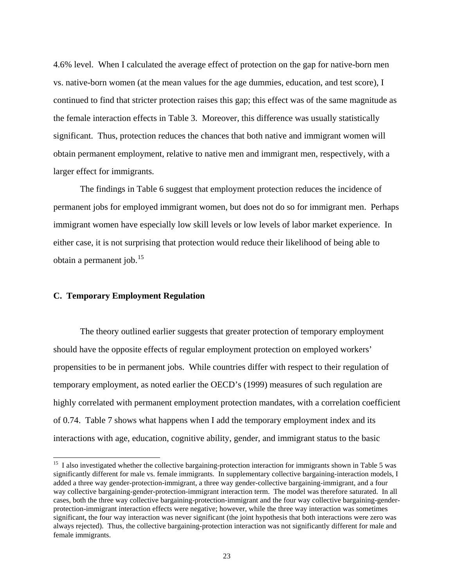<span id="page-24-0"></span>4.6% level. When I calculated the average effect of protection on the gap for native-born men vs. native-born women (at the mean values for the age dummies, education, and test score), I continued to find that stricter protection raises this gap; this effect was of the same magnitude as the female interaction effects in Table 3. Moreover, this difference was usually statistically significant. Thus, protection reduces the chances that both native and immigrant women will obtain permanent employment, relative to native men and immigrant men, respectively, with a larger effect for immigrants.

 The findings in Table 6 suggest that employment protection reduces the incidence of permanent jobs for employed immigrant women, but does not do so for immigrant men. Perhaps immigrant women have especially low skill levels or low levels of labor market experience. In either case, it is not surprising that protection would reduce their likelihood of being able to obtain a permanent job.<sup>[15](#page-24-0)</sup>

### **C. Temporary Employment Regulation**

 $\overline{\phantom{a}}$ 

 The theory outlined earlier suggests that greater protection of temporary employment should have the opposite effects of regular employment protection on employed workers' propensities to be in permanent jobs. While countries differ with respect to their regulation of temporary employment, as noted earlier the OECD's (1999) measures of such regulation are highly correlated with permanent employment protection mandates, with a correlation coefficient of 0.74. Table 7 shows what happens when I add the temporary employment index and its interactions with age, education, cognitive ability, gender, and immigrant status to the basic

<sup>&</sup>lt;sup>15</sup> I also investigated whether the collective bargaining-protection interaction for immigrants shown in Table 5 was significantly different for male vs. female immigrants. In supplementary collective bargaining-interaction models, I added a three way gender-protection-immigrant, a three way gender-collective bargaining-immigrant, and a four way collective bargaining-gender-protection-immigrant interaction term. The model was therefore saturated. In all cases, both the three way collective bargaining-protection-immigrant and the four way collective bargaining-genderprotection-immigrant interaction effects were negative; however, while the three way interaction was sometimes significant, the four way interaction was never significant (the joint hypothesis that both interactions were zero was always rejected). Thus, the collective bargaining-protection interaction was not significantly different for male and female immigrants.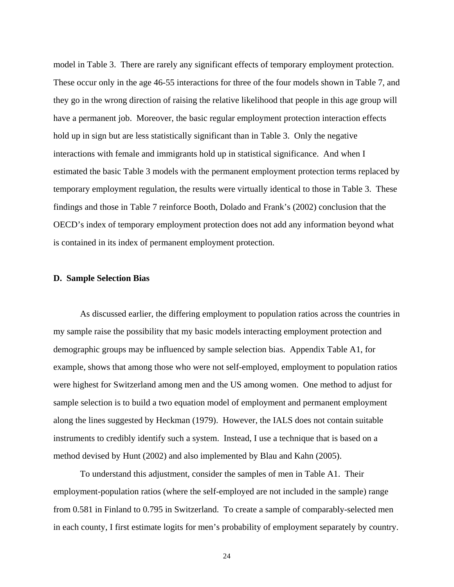model in Table 3. There are rarely any significant effects of temporary employment protection. These occur only in the age 46-55 interactions for three of the four models shown in Table 7, and they go in the wrong direction of raising the relative likelihood that people in this age group will have a permanent job. Moreover, the basic regular employment protection interaction effects hold up in sign but are less statistically significant than in Table 3. Only the negative interactions with female and immigrants hold up in statistical significance. And when I estimated the basic Table 3 models with the permanent employment protection terms replaced by temporary employment regulation, the results were virtually identical to those in Table 3. These findings and those in Table 7 reinforce Booth, Dolado and Frank's (2002) conclusion that the OECD's index of temporary employment protection does not add any information beyond what is contained in its index of permanent employment protection.

#### **D. Sample Selection Bias**

 As discussed earlier, the differing employment to population ratios across the countries in my sample raise the possibility that my basic models interacting employment protection and demographic groups may be influenced by sample selection bias. Appendix Table A1, for example, shows that among those who were not self-employed, employment to population ratios were highest for Switzerland among men and the US among women. One method to adjust for sample selection is to build a two equation model of employment and permanent employment along the lines suggested by Heckman (1979). However, the IALS does not contain suitable instruments to credibly identify such a system. Instead, I use a technique that is based on a method devised by Hunt (2002) and also implemented by Blau and Kahn (2005).

To understand this adjustment, consider the samples of men in Table A1. Their employment-population ratios (where the self-employed are not included in the sample) range from 0.581 in Finland to 0.795 in Switzerland. To create a sample of comparably-selected men in each county, I first estimate logits for men's probability of employment separately by country.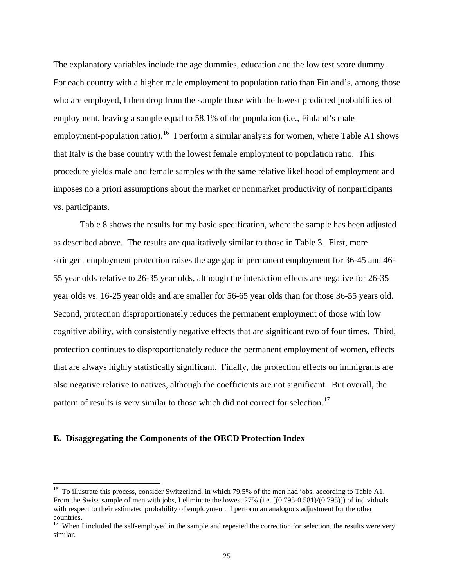<span id="page-26-0"></span>The explanatory variables include the age dummies, education and the low test score dummy. For each country with a higher male employment to population ratio than Finland's, among those who are employed, I then drop from the sample those with the lowest predicted probabilities of employment, leaving a sample equal to 58.1% of the population (i.e., Finland's male employment-population ratio).<sup>[16](#page-26-0)</sup> I perform a similar analysis for women, where Table A1 shows that Italy is the base country with the lowest female employment to population ratio. This procedure yields male and female samples with the same relative likelihood of employment and imposes no a priori assumptions about the market or nonmarket productivity of nonparticipants vs. participants.

Table 8 shows the results for my basic specification, where the sample has been adjusted as described above. The results are qualitatively similar to those in Table 3. First, more stringent employment protection raises the age gap in permanent employment for 36-45 and 46- 55 year olds relative to 26-35 year olds, although the interaction effects are negative for 26-35 year olds vs. 16-25 year olds and are smaller for 56-65 year olds than for those 36-55 years old. Second, protection disproportionately reduces the permanent employment of those with low cognitive ability, with consistently negative effects that are significant two of four times. Third, protection continues to disproportionately reduce the permanent employment of women, effects that are always highly statistically significant. Finally, the protection effects on immigrants are also negative relative to natives, although the coefficients are not significant. But overall, the pattern of results is very similar to those which did not correct for selection.<sup>[17](#page-26-0)</sup>

#### **E. Disaggregating the Components of the OECD Protection Index**

 $\overline{\phantom{a}}$ 

<sup>&</sup>lt;sup>16</sup> To illustrate this process, consider Switzerland, in which 79.5% of the men had jobs, according to Table A1. From the Swiss sample of men with jobs, I eliminate the lowest 27% (i.e. [(0.795-0.581)/(0.795)]) of individuals with respect to their estimated probability of employment. I perform an analogous adjustment for the other countries.

 $17$  When I included the self-employed in the sample and repeated the correction for selection, the results were very similar.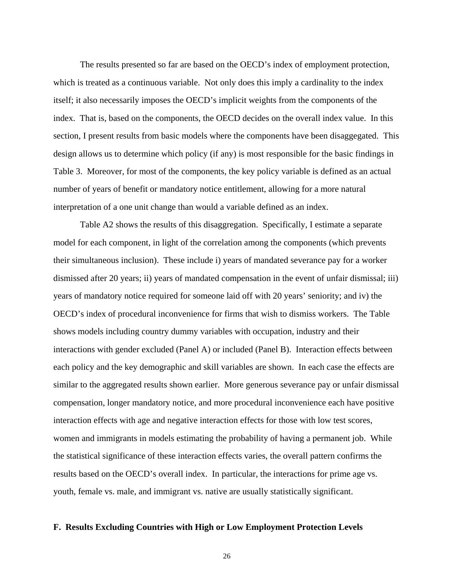The results presented so far are based on the OECD's index of employment protection, which is treated as a continuous variable. Not only does this imply a cardinality to the index itself; it also necessarily imposes the OECD's implicit weights from the components of the index. That is, based on the components, the OECD decides on the overall index value. In this section, I present results from basic models where the components have been disaggegated. This design allows us to determine which policy (if any) is most responsible for the basic findings in Table 3. Moreover, for most of the components, the key policy variable is defined as an actual number of years of benefit or mandatory notice entitlement, allowing for a more natural interpretation of a one unit change than would a variable defined as an index.

Table A2 shows the results of this disaggregation. Specifically, I estimate a separate model for each component, in light of the correlation among the components (which prevents their simultaneous inclusion). These include i) years of mandated severance pay for a worker dismissed after 20 years; ii) years of mandated compensation in the event of unfair dismissal; iii) years of mandatory notice required for someone laid off with 20 years' seniority; and iv) the OECD's index of procedural inconvenience for firms that wish to dismiss workers. The Table shows models including country dummy variables with occupation, industry and their interactions with gender excluded (Panel A) or included (Panel B). Interaction effects between each policy and the key demographic and skill variables are shown. In each case the effects are similar to the aggregated results shown earlier. More generous severance pay or unfair dismissal compensation, longer mandatory notice, and more procedural inconvenience each have positive interaction effects with age and negative interaction effects for those with low test scores, women and immigrants in models estimating the probability of having a permanent job. While the statistical significance of these interaction effects varies, the overall pattern confirms the results based on the OECD's overall index. In particular, the interactions for prime age vs. youth, female vs. male, and immigrant vs. native are usually statistically significant.

#### **F. Results Excluding Countries with High or Low Employment Protection Levels**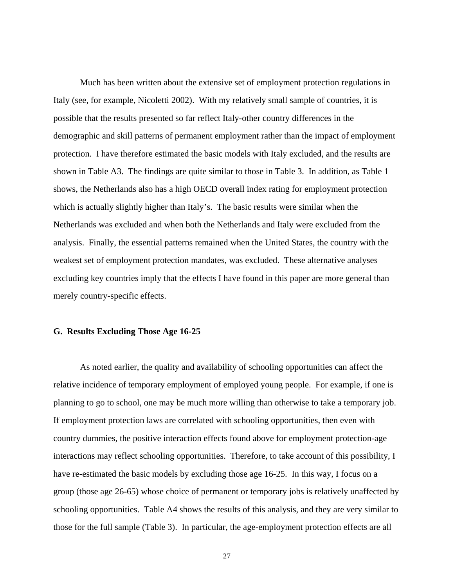Much has been written about the extensive set of employment protection regulations in Italy (see, for example, Nicoletti 2002). With my relatively small sample of countries, it is possible that the results presented so far reflect Italy-other country differences in the demographic and skill patterns of permanent employment rather than the impact of employment protection. I have therefore estimated the basic models with Italy excluded, and the results are shown in Table A3. The findings are quite similar to those in Table 3. In addition, as Table 1 shows, the Netherlands also has a high OECD overall index rating for employment protection which is actually slightly higher than Italy's. The basic results were similar when the Netherlands was excluded and when both the Netherlands and Italy were excluded from the analysis. Finally, the essential patterns remained when the United States, the country with the weakest set of employment protection mandates, was excluded. These alternative analyses excluding key countries imply that the effects I have found in this paper are more general than merely country-specific effects.

#### **G. Results Excluding Those Age 16-25**

 As noted earlier, the quality and availability of schooling opportunities can affect the relative incidence of temporary employment of employed young people. For example, if one is planning to go to school, one may be much more willing than otherwise to take a temporary job. If employment protection laws are correlated with schooling opportunities, then even with country dummies, the positive interaction effects found above for employment protection-age interactions may reflect schooling opportunities. Therefore, to take account of this possibility, I have re-estimated the basic models by excluding those age 16-25. In this way, I focus on a group (those age 26-65) whose choice of permanent or temporary jobs is relatively unaffected by schooling opportunities. Table A4 shows the results of this analysis, and they are very similar to those for the full sample (Table 3). In particular, the age-employment protection effects are all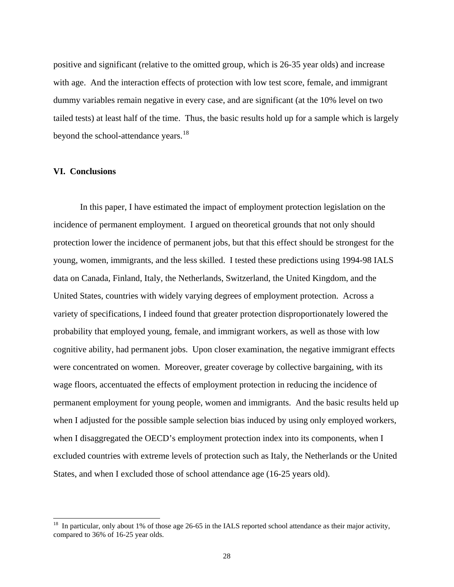<span id="page-29-0"></span>positive and significant (relative to the omitted group, which is 26-35 year olds) and increase with age. And the interaction effects of protection with low test score, female, and immigrant dummy variables remain negative in every case, and are significant (at the 10% level on two tailed tests) at least half of the time. Thus, the basic results hold up for a sample which is largely beyond the school-attendance years.<sup>[18](#page-29-0)</sup>

#### **VI. Conclusions**

 $\overline{a}$ 

 In this paper, I have estimated the impact of employment protection legislation on the incidence of permanent employment. I argued on theoretical grounds that not only should protection lower the incidence of permanent jobs, but that this effect should be strongest for the young, women, immigrants, and the less skilled. I tested these predictions using 1994-98 IALS data on Canada, Finland, Italy, the Netherlands, Switzerland, the United Kingdom, and the United States, countries with widely varying degrees of employment protection. Across a variety of specifications, I indeed found that greater protection disproportionately lowered the probability that employed young, female, and immigrant workers, as well as those with low cognitive ability, had permanent jobs. Upon closer examination, the negative immigrant effects were concentrated on women. Moreover, greater coverage by collective bargaining, with its wage floors, accentuated the effects of employment protection in reducing the incidence of permanent employment for young people, women and immigrants. And the basic results held up when I adjusted for the possible sample selection bias induced by using only employed workers, when I disaggregated the OECD's employment protection index into its components, when I excluded countries with extreme levels of protection such as Italy, the Netherlands or the United States, and when I excluded those of school attendance age (16-25 years old).

 $18$  In particular, only about 1% of those age 26-65 in the IALS reported school attendance as their major activity, compared to 36% of 16-25 year olds.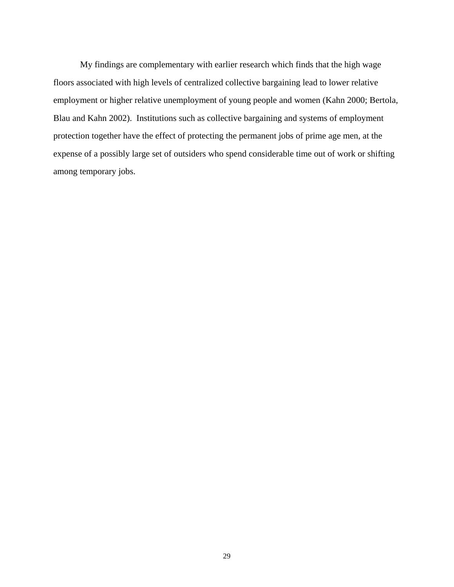My findings are complementary with earlier research which finds that the high wage floors associated with high levels of centralized collective bargaining lead to lower relative employment or higher relative unemployment of young people and women (Kahn 2000; Bertola, Blau and Kahn 2002). Institutions such as collective bargaining and systems of employment protection together have the effect of protecting the permanent jobs of prime age men, at the expense of a possibly large set of outsiders who spend considerable time out of work or shifting among temporary jobs.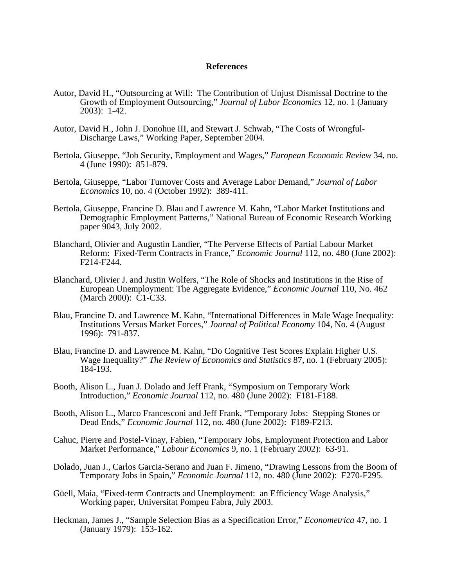#### **References**

- Autor, David H., "Outsourcing at Will: The Contribution of Unjust Dismissal Doctrine to the Growth of Employment Outsourcing," *Journal of Labor Economics* 12, no. 1 (January 2003): 1-42.
- Autor, David H., John J. Donohue III, and Stewart J. Schwab, "The Costs of Wrongful-Discharge Laws," Working Paper, September 2004.
- Bertola, Giuseppe, "Job Security, Employment and Wages," *European Economic Review* 34, no. 4 (June 1990): 851-879.
- Bertola, Giuseppe, "Labor Turnover Costs and Average Labor Demand," *Journal of Labor Economics* 10, no. 4 (October 1992): 389-411.
- Bertola, Giuseppe, Francine D. Blau and Lawrence M. Kahn, "Labor Market Institutions and Demographic Employment Patterns," National Bureau of Economic Research Working paper 9043, July 2002.
- Blanchard, Olivier and Augustin Landier, "The Perverse Effects of Partial Labour Market Reform: Fixed-Term Contracts in France," *Economic Journal* 112, no. 480 (June 2002): F214-F244.
- Blanchard, Olivier J. and Justin Wolfers, "The Role of Shocks and Institutions in the Rise of European Unemployment: The Aggregate Evidence," *Economic Journal* 110, No. 462 (March 2000): C1-C33.
- Blau, Francine D. and Lawrence M. Kahn, "International Differences in Male Wage Inequality: Institutions Versus Market Forces," *Journal of Political Economy* 104, No. 4 (August 1996): 791-837.
- Blau, Francine D. and Lawrence M. Kahn, "Do Cognitive Test Scores Explain Higher U.S. Wage Inequality?" *The Review of Economics and Statistics* 87, no. 1 (February 2005): 184-193.
- Booth, Alison L., Juan J. Dolado and Jeff Frank, "Symposium on Temporary Work Introduction," *Economic Journal* 112, no. 480 (June 2002): F181-F188.
- Booth, Alison L., Marco Francesconi and Jeff Frank, "Temporary Jobs: Stepping Stones or Dead Ends," *Economic Journal* 112, no. 480 (June 2002): F189-F213.
- Cahuc, Pierre and Postel-Vinay, Fabien, "Temporary Jobs, Employment Protection and Labor Market Performance," *Labour Economics* 9, no. 1 (February 2002): 63-91.
- Dolado, Juan J., Carlos Garcia-Serano and Juan F. Jimeno, "Drawing Lessons from the Boom of Temporary Jobs in Spain," *Economic Journal* 112, no. 480 (June 2002): F270-F295.
- Güell, Maia, "Fixed-term Contracts and Unemployment: an Efficiency Wage Analysis," Working paper, Universitat Pompeu Fabra, July 2003.
- Heckman, James J., "Sample Selection Bias as a Specification Error," *Econometrica* 47, no. 1 (January 1979): 153-162.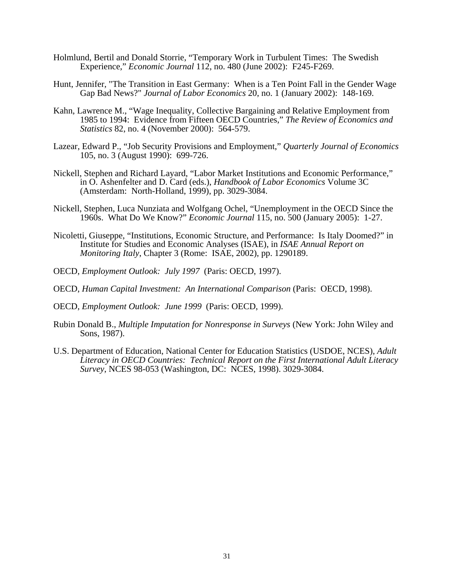- Holmlund, Bertil and Donald Storrie, "Temporary Work in Turbulent Times: The Swedish Experience," *Economic Journal* 112, no. 480 (June 2002): F245-F269.
- Hunt, Jennifer, "The Transition in East Germany: When is a Ten Point Fall in the Gender Wage Gap Bad News?" *Journal of Labor Economics* 20, no. 1 (January 2002): 148-169.
- Kahn, Lawrence M., "Wage Inequality, Collective Bargaining and Relative Employment from 1985 to 1994: Evidence from Fifteen OECD Countries," *The Review of Economics and Statistics* 82, no. 4 (November 2000): 564-579.
- Lazear, Edward P., "Job Security Provisions and Employment," *Quarterly Journal of Economics* 105, no. 3 (August 1990): 699-726.
- Nickell, Stephen and Richard Layard, "Labor Market Institutions and Economic Performance," in O. Ashenfelter and D. Card (eds.), *Handbook of Labor Economics* Volume 3C (Amsterdam: North-Holland, 1999), pp. 3029-3084.
- Nickell, Stephen, Luca Nunziata and Wolfgang Ochel, "Unemployment in the OECD Since the 1960s. What Do We Know?" *Economic Journal* 115, no. 500 (January 2005): 1-27.
- Nicoletti, Giuseppe, "Institutions, Economic Structure, and Performance: Is Italy Doomed?" in Institute for Studies and Economic Analyses (ISAE), in *ISAE Annual Report on Monitoring Italy*, Chapter 3 (Rome: ISAE, 2002), pp. 1290189.
- OECD, *Employment Outlook: July 1997* (Paris: OECD, 1997).
- OECD, *Human Capital Investment: An International Comparison* (Paris: OECD, 1998).
- OECD, *Employment Outlook: June 1999* (Paris: OECD, 1999).
- Rubin Donald B., *Multiple Imputation for Nonresponse in Surveys* (New York: John Wiley and Sons, 1987).
- U.S. Department of Education, National Center for Education Statistics (USDOE, NCES), *Adult Literacy in OECD Countries: Technical Report on the First International Adult Literacy Survey*, NCES 98-053 (Washington, DC: NCES, 1998). 3029-3084.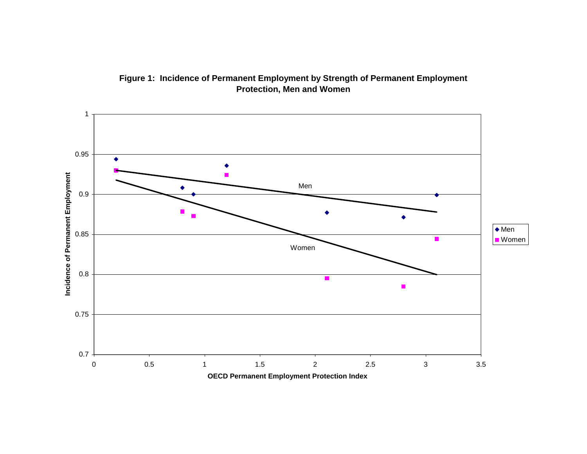

## **Figure 1: Incidence of Permanent Employment by Strength of Permanent Employment Protection, Men and Women**

**OECD Permanent Employment Protection Index**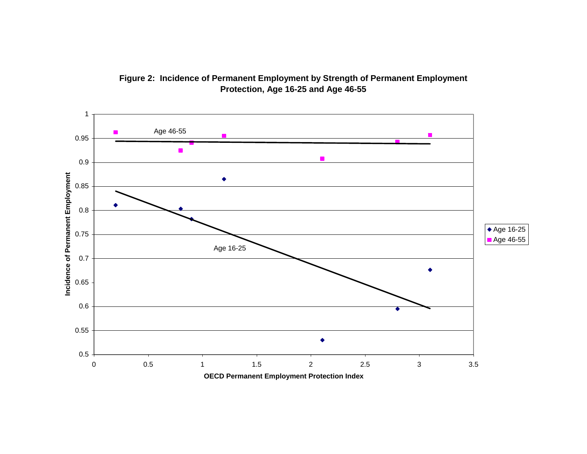

**Figure 2: Incidence of Permanent Employment by Strength of Permanent Employment Protection, Age 16-25 and Age 46-55**

**OECD Permanent Employment Protection Index**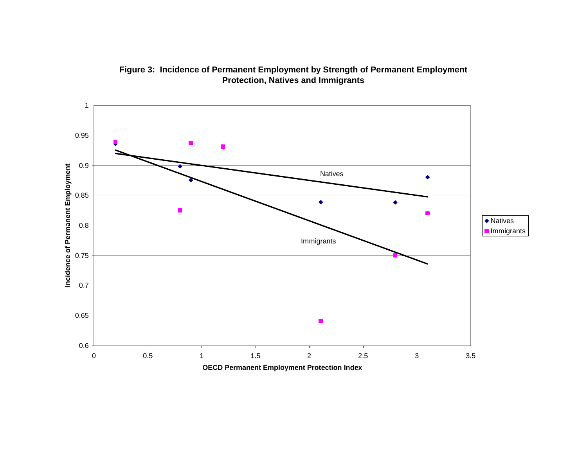**Figure 3: Incidence of Permanent Employment by Strength of Permanent Employment Protection, Natives and Immigrants**

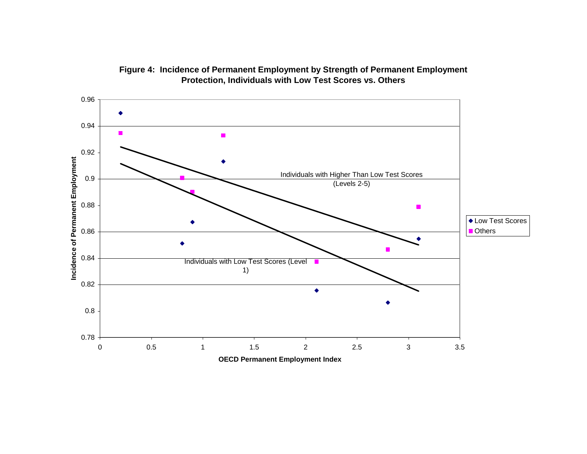

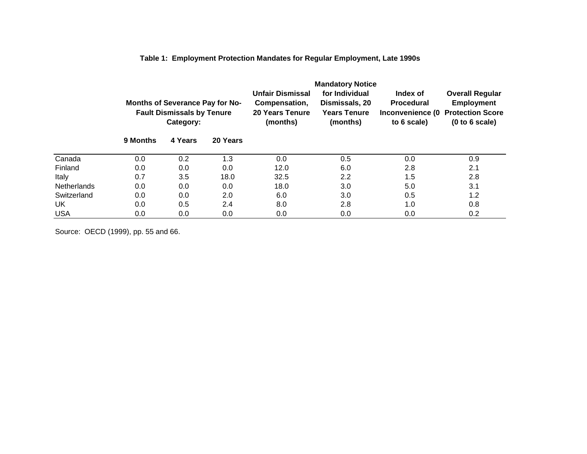|                    |                                                                                          |         |          |                                                                                | <b>Mandatory Notice</b>                                             |                                                                  |                                                                                          |  |
|--------------------|------------------------------------------------------------------------------------------|---------|----------|--------------------------------------------------------------------------------|---------------------------------------------------------------------|------------------------------------------------------------------|------------------------------------------------------------------------------------------|--|
|                    | <b>Months of Severance Pay for No-</b><br><b>Fault Dismissals by Tenure</b><br>Category: |         |          | <b>Unfair Dismissal</b><br>Compensation,<br><b>20 Years Tenure</b><br>(months) | for Individual<br>Dismissals, 20<br><b>Years Tenure</b><br>(months) | Index of<br><b>Procedural</b><br>Inconvenience (0<br>to 6 scale) | <b>Overall Regular</b><br><b>Employment</b><br><b>Protection Score</b><br>(0 to 6 scale) |  |
|                    | 9 Months                                                                                 | 4 Years | 20 Years |                                                                                |                                                                     |                                                                  |                                                                                          |  |
| Canada             | 0.0                                                                                      | 0.2     | 1.3      | 0.0                                                                            | 0.5                                                                 | 0.0                                                              | 0.9                                                                                      |  |
| Finland            | 0.0                                                                                      | 0.0     | 0.0      | 12.0                                                                           | 6.0                                                                 | 2.8                                                              | 2.1                                                                                      |  |
| Italy              | 0.7                                                                                      | 3.5     | 18.0     | 32.5                                                                           | 2.2                                                                 | 1.5                                                              | 2.8                                                                                      |  |
| <b>Netherlands</b> | 0.0                                                                                      | 0.0     | 0.0      | 18.0                                                                           | 3.0                                                                 | 5.0                                                              | 3.1                                                                                      |  |
| Switzerland        | 0.0                                                                                      | 0.0     | 2.0      | 6.0                                                                            | 3.0                                                                 | 0.5                                                              | 1.2                                                                                      |  |
| UK                 | 0.0                                                                                      | 0.5     | 2.4      | 8.0                                                                            | 2.8                                                                 | 1.0                                                              | 0.8                                                                                      |  |
| <b>USA</b>         | 0.0                                                                                      | 0.0     | $0.0\,$  | 0.0                                                                            | $0.0\,$                                                             | 0.0                                                              | 0.2                                                                                      |  |

**Table 1: Employment Protection Mandates for Regular Employment, Late 1990s**

Source: OECD (1999), pp. 55 and 66.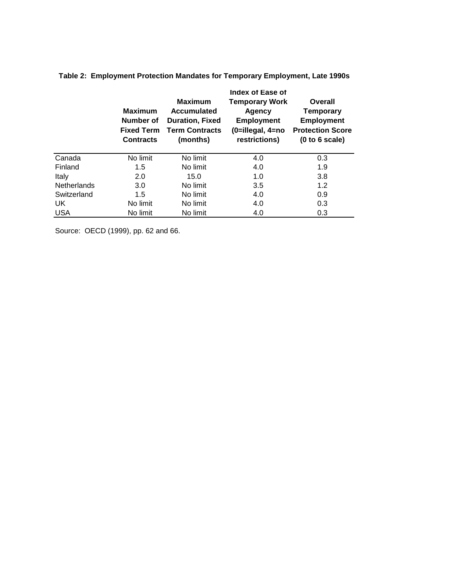|                    | <b>Maximum</b><br>Number of<br><b>Fixed Term</b><br><b>Contracts</b> | <b>Maximum</b><br><b>Accumulated</b><br><b>Duration, Fixed</b><br><b>Term Contracts</b><br>(months) | Index of Ease of<br><b>Temporary Work</b><br>Agency<br><b>Employment</b><br>(0=illegal, 4=no<br>restrictions) | Overall<br><b>Temporary</b><br><b>Employment</b><br><b>Protection Score</b><br>(0 to 6 scale) |
|--------------------|----------------------------------------------------------------------|-----------------------------------------------------------------------------------------------------|---------------------------------------------------------------------------------------------------------------|-----------------------------------------------------------------------------------------------|
| Canada             | No limit                                                             | No limit                                                                                            | 4.0                                                                                                           | 0.3                                                                                           |
| Finland            | 1.5                                                                  | No limit                                                                                            | 4.0                                                                                                           | 1.9                                                                                           |
| Italy              | 2.0                                                                  | 15.0                                                                                                | 1.0                                                                                                           | 3.8                                                                                           |
| <b>Netherlands</b> | 3.0                                                                  | No limit                                                                                            | 3.5                                                                                                           | 1.2                                                                                           |
| Switzerland        | 1.5                                                                  | No limit                                                                                            | 4.0                                                                                                           | 0.9                                                                                           |
| UK.                | No limit                                                             | No limit                                                                                            | 4.0                                                                                                           | 0.3                                                                                           |
| <b>USA</b>         | No limit                                                             | No limit                                                                                            | 4.0                                                                                                           | 0.3                                                                                           |

**Table 2: Employment Protection Mandates for Temporary Employment, Late 1990s**

Source: OECD (1999), pp. 62 and 66.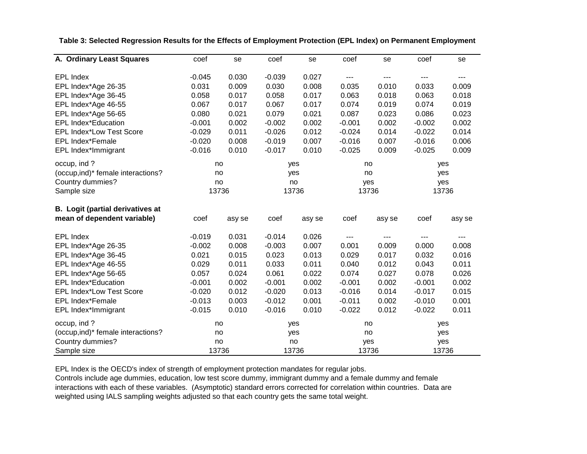| A. Ordinary Least Squares               | coef     | se     | coef     | se     | coef     | se                | coef              | se     |
|-----------------------------------------|----------|--------|----------|--------|----------|-------------------|-------------------|--------|
|                                         |          |        |          |        |          |                   |                   |        |
| <b>EPL Index</b>                        | $-0.045$ | 0.030  | $-0.039$ | 0.027  | ---      | $\qquad \qquad -$ | $\qquad \qquad -$ | ---    |
| EPL Index*Age 26-35                     | 0.031    | 0.009  | 0.030    | 0.008  | 0.035    | 0.010             | 0.033             | 0.009  |
| EPL Index*Age 36-45                     | 0.058    | 0.017  | 0.058    | 0.017  | 0.063    | 0.018             | 0.063             | 0.018  |
| EPL Index*Age 46-55                     | 0.067    | 0.017  | 0.067    | 0.017  | 0.074    | 0.019             | 0.074             | 0.019  |
| EPL Index*Age 56-65                     | 0.080    | 0.021  | 0.079    | 0.021  | 0.087    | 0.023             | 0.086             | 0.023  |
| <b>EPL Index*Education</b>              | $-0.001$ | 0.002  | $-0.002$ | 0.002  | $-0.001$ | 0.002             | $-0.002$          | 0.002  |
| <b>EPL Index*Low Test Score</b>         | $-0.029$ | 0.011  | $-0.026$ | 0.012  | $-0.024$ | 0.014             | $-0.022$          | 0.014  |
| <b>EPL Index*Female</b>                 | $-0.020$ | 0.008  | $-0.019$ | 0.007  | $-0.016$ | 0.007             | $-0.016$          | 0.006  |
| EPL Index*Immigrant                     | $-0.016$ | 0.010  | $-0.017$ | 0.010  | $-0.025$ | 0.009             | $-0.025$          | 0.009  |
| occup, ind?                             | no       |        |          | yes    |          | no                |                   | yes    |
| (occup, ind)* female interactions?      | no       |        |          | yes    |          | no                |                   | yes    |
| Country dummies?                        | no       |        | no       |        | yes      |                   | yes               |        |
| Sample size                             |          | 13736  |          | 13736  | 13736    |                   | 13736             |        |
| <b>B.</b> Logit (partial derivatives at |          |        |          |        |          |                   |                   |        |
| mean of dependent variable)             | coef     | asy se | coef     | asy se | coef     | asy se            | coef              |        |
|                                         |          |        |          |        |          |                   |                   | asy se |
| <b>EPL Index</b>                        | $-0.019$ | 0.031  | $-0.014$ | 0.026  | ---      | $---$             | $\qquad \qquad -$ |        |
| EPL Index*Age 26-35                     | $-0.002$ | 0.008  | $-0.003$ | 0.007  | 0.001    | 0.009             | 0.000             | 0.008  |
| EPL Index*Age 36-45                     | 0.021    | 0.015  | 0.023    | 0.013  | 0.029    | 0.017             | 0.032             | 0.016  |
| EPL Index*Age 46-55                     | 0.029    | 0.011  | 0.033    | 0.011  | 0.040    | 0.012             | 0.043             | 0.011  |
| EPL Index*Age 56-65                     | 0.057    | 0.024  | 0.061    | 0.022  | 0.074    | 0.027             | 0.078             | 0.026  |
| <b>EPL Index*Education</b>              | $-0.001$ | 0.002  | $-0.001$ | 0.002  | $-0.001$ | 0.002             | $-0.001$          | 0.002  |
| <b>EPL Index*Low Test Score</b>         | $-0.020$ | 0.012  | $-0.020$ | 0.013  | $-0.016$ | 0.014             | $-0.017$          | 0.015  |
| <b>EPL Index*Female</b>                 | $-0.013$ | 0.003  | $-0.012$ | 0.001  | $-0.011$ | 0.002             | $-0.010$          | 0.001  |
| EPL Index*Immigrant                     | $-0.015$ | 0.010  | $-0.016$ | 0.010  | $-0.022$ | 0.012             | $-0.022$          | 0.011  |
| occup, ind?                             | no       |        |          | yes    | no       |                   | yes               |        |
| (occup, ind)* female interactions?      | no       |        |          | yes    | no       |                   | yes               |        |
| Country dummies?                        | no       |        |          | no     | yes      |                   | yes               |        |
| Sample size                             |          | 13736  |          | 13736  |          | 13736             | 13736             |        |

**Table 3: Selected Regression Results for the Effects of Employment Protection (EPL Index) on Permanent Employment**

-

 $\overline{\phantom{0}}$ 

EPL Index is the OECD's index of strength of employment protection mandates for regular jobs.

Controls include age dummies, education, low test score dummy, immigrant dummy and a female dummy and female interactions with each of these variables. (Asymptotic) standard errors corrected for correlation within countries. Data are weighted using IALS sampling weights adjusted so that each country gets the same total weight.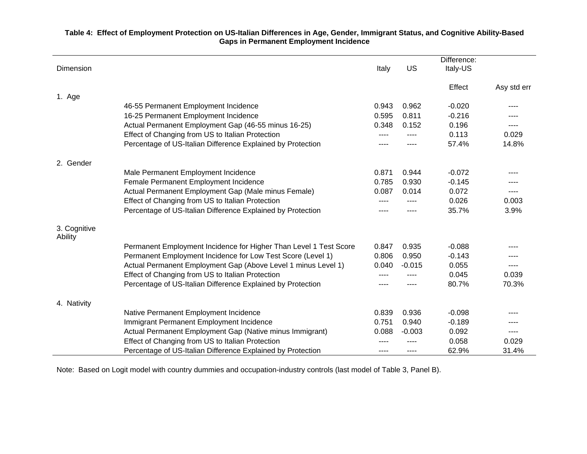#### **Table 4: Effect of Employment Protection on US-Italian Differences in Age, Gender, Immigrant Status, and Cognitive Ability-Based Gaps in Permanent Employment Incidence**

| Dimension               |                                                                   | Italy | US       | Difference:<br>Italy-US |             |
|-------------------------|-------------------------------------------------------------------|-------|----------|-------------------------|-------------|
|                         |                                                                   |       |          | Effect                  | Asy std err |
| 1. Age                  | 46-55 Permanent Employment Incidence                              | 0.943 | 0.962    | $-0.020$                | ----        |
|                         | 16-25 Permanent Employment Incidence                              | 0.595 | 0.811    | $-0.216$                |             |
|                         |                                                                   | 0.348 | 0.152    | 0.196                   | ----        |
|                         | Actual Permanent Employment Gap (46-55 minus 16-25)               |       |          |                         |             |
|                         | Effect of Changing from US to Italian Protection                  | ----  |          | 0.113                   | 0.029       |
|                         | Percentage of US-Italian Difference Explained by Protection       | ----  |          | 57.4%                   | 14.8%       |
| 2. Gender               |                                                                   |       |          |                         |             |
|                         | Male Permanent Employment Incidence                               | 0.871 | 0.944    | $-0.072$                | ----        |
|                         | Female Permanent Employment Incidence                             | 0.785 | 0.930    | $-0.145$                |             |
|                         | Actual Permanent Employment Gap (Male minus Female)               | 0.087 | 0.014    | 0.072                   | $---$       |
|                         | Effect of Changing from US to Italian Protection                  | ----  |          | 0.026                   | 0.003       |
|                         | Percentage of US-Italian Difference Explained by Protection       | ----  |          | 35.7%                   | 3.9%        |
| 3. Cognitive<br>Ability |                                                                   |       |          |                         |             |
|                         | Permanent Employment Incidence for Higher Than Level 1 Test Score | 0.847 | 0.935    | $-0.088$                | ----        |
|                         | Permanent Employment Incidence for Low Test Score (Level 1)       | 0.806 | 0.950    | $-0.143$                |             |
|                         | Actual Permanent Employment Gap (Above Level 1 minus Level 1)     | 0.040 | $-0.015$ | 0.055                   | ----        |
|                         | Effect of Changing from US to Italian Protection                  | ----  |          | 0.045                   | 0.039       |
|                         | Percentage of US-Italian Difference Explained by Protection       | ----  | ----     | 80.7%                   | 70.3%       |
| 4. Nativity             |                                                                   |       |          |                         |             |
|                         | Native Permanent Employment Incidence                             | 0.839 | 0.936    | $-0.098$                |             |
|                         | Immigrant Permanent Employment Incidence                          | 0.751 | 0.940    | $-0.189$                |             |
|                         | Actual Permanent Employment Gap (Native minus Immigrant)          | 0.088 | $-0.003$ | 0.092                   | ----        |
|                         | Effect of Changing from US to Italian Protection                  |       |          | 0.058                   | 0.029       |
|                         | Percentage of US-Italian Difference Explained by Protection       | ----  | ----     | 62.9%                   | 31.4%       |

Note: Based on Logit model with country dummies and occupation-industry controls (last model of Table 3, Panel B).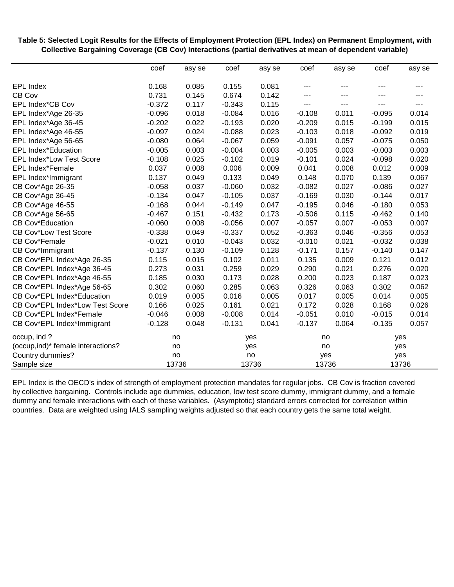**Table 5: Sele cted Logit Results for the Effects of Employment Protection (EPL Index) on Permanent Employm ent, with Collec tive Bargaining Coverage (CB Cov) Interactions (partial derivatives at mean of dependent variable)**

|                                            | coef              | asy se         | coef           | asy se | coef       | asy se         | coef           | asy se |
|--------------------------------------------|-------------------|----------------|----------------|--------|------------|----------------|----------------|--------|
|                                            | 0.168             | 0.085          | 0.155          | 0.081  |            |                |                |        |
| <b>EPL Index</b><br>CB Cov                 | 0.731             | 0.145          | 0.674          | 0.142  | ---<br>--- |                | ---<br>---     | ---    |
| EPL Index*CB Cov                           | $-0.372$          | 0.117          | $-0.343$       | 0.115  | ---        | $---$          | $---$          | $---$  |
| EPL Index*Age 26-35                        | $-0.096$          | 0.018          | $-0.084$       | 0.016  | $-0.108$   | 0.011          | $-0.095$       | 0.014  |
|                                            | $-0.202$          | 0.022          | $-0.193$       | 0.020  | $-0.209$   | 0.015          | $-0.199$       | 0.015  |
| EPL Index*Age 36-45<br>EPL Index*Age 46-55 | $-0.097$          | 0.024          | $-0.088$       | 0.023  | $-0.103$   | 0.018          | $-0.092$       | 0.019  |
| EPL Index*Age 56-65                        | $-0.080$          | 0.064          | $-0.067$       | 0.059  | $-0.091$   | 0.057          | $-0.075$       | 0.050  |
| <b>EPL Index*Education</b>                 | $-0.005$          | 0.003          | $-0.004$       | 0.003  | $-0.005$   | 0.003          | $-0.003$       | 0.003  |
| <b>EPL Index*Low Test Score</b>            |                   | 0.025          |                | 0.019  | $-0.101$   | 0.024          |                | 0.020  |
|                                            | $-0.108$<br>0.037 |                | $-0.102$       | 0.009  | 0.041      |                | $-0.098$       | 0.009  |
| EPL Index*Female                           | 0.137             | 0.008<br>0.049 | 0.006<br>0.133 | 0.049  | 0.148      | 0.008<br>0.070 | 0.012<br>0.139 | 0.067  |
| EPL Index*Immigrant                        | $-0.058$          | 0.037          | $-0.060$       | 0.032  | $-0.082$   | 0.027          | $-0.086$       | 0.027  |
| CB Cov*Age 26-35                           |                   | 0.047          |                |        |            |                |                | 0.017  |
| CB Cov*Age 36-45                           | $-0.134$          |                | $-0.105$       | 0.037  | $-0.169$   | 0.030          | $-0.144$       |        |
| CB Cov*Age 46-55                           | $-0.168$          | 0.044          | $-0.149$       | 0.047  | $-0.195$   | 0.046          | $-0.180$       | 0.053  |
| CB Cov*Age 56-65                           | $-0.467$          | 0.151          | $-0.432$       | 0.173  | $-0.506$   | 0.115          | $-0.462$       | 0.140  |
| <b>CB Cov*Education</b>                    | $-0.060$          | 0.008          | $-0.056$       | 0.007  | $-0.057$   | 0.007          | $-0.053$       | 0.007  |
| <b>CB Cov*Low Test Score</b>               | $-0.338$          | 0.049          | $-0.337$       | 0.052  | $-0.363$   | 0.046          | $-0.356$       | 0.053  |
| CB Cov*Female                              | $-0.021$          | 0.010          | $-0.043$       | 0.032  | $-0.010$   | 0.021          | $-0.032$       | 0.038  |
| CB Cov*Immigrant                           | $-0.137$          | 0.130          | $-0.109$       | 0.128  | $-0.171$   | 0.157          | $-0.140$       | 0.147  |
| CB Cov*EPL Index*Age 26-35                 | 0.115             | 0.015          | 0.102          | 0.011  | 0.135      | 0.009          | 0.121          | 0.012  |
| CB Cov*EPL Index*Age 36-45                 | 0.273             | 0.031          | 0.259          | 0.029  | 0.290      | 0.021          | 0.276          | 0.020  |
| CB Cov*EPL Index*Age 46-55                 | 0.185             | 0.030          | 0.173          | 0.028  | 0.200      | 0.023          | 0.187          | 0.023  |
| CB Cov*EPL Index*Age 56-65                 | 0.302             | 0.060          | 0.285          | 0.063  | 0.326      | 0.063          | 0.302          | 0.062  |
| CB Cov*EPL Index*Education                 | 0.019             | 0.005          | 0.016          | 0.005  | 0.017      | 0.005          | 0.014          | 0.005  |
| CB Cov*EPL Index*Low Test Score            | 0.166             | 0.025          | 0.161          | 0.021  | 0.172      | 0.028          | 0.168          | 0.026  |
| CB Cov*EPL Index*Female                    | $-0.046$          | 0.008          | $-0.008$       | 0.014  | $-0.051$   | 0.010          | $-0.015$       | 0.014  |
| CB Cov*EPL Index*Immigrant                 | $-0.128$          | 0.048          | $-0.131$       | 0.041  | $-0.137$   | 0.064          | $-0.135$       | 0.057  |
| occup, ind?                                | no                |                |                | yes    |            | no             | yes            |        |
| (occup, ind)* female interactions?         |                   | no             |                | yes    |            | no             | yes            |        |
| Country dummies?                           |                   | no             |                | no     | yes        |                | yes            |        |
| Sample size                                |                   | 13736          |                | 13736  |            | 13736          |                | 13736  |

EPL Index is the OECD's index of strength of employment protection mandates for regular jobs. CB Cov is fraction covered by collective bargaining. Controls include age dummies, education, low test score dummy, immigrant dummy, and a female dummy and f emale interactions with each of these variables. (Asymptotic) standard errors corrected for correlation within countries. Data are weighted using IALS sampling weights adjusted so that each country gets the same total weight.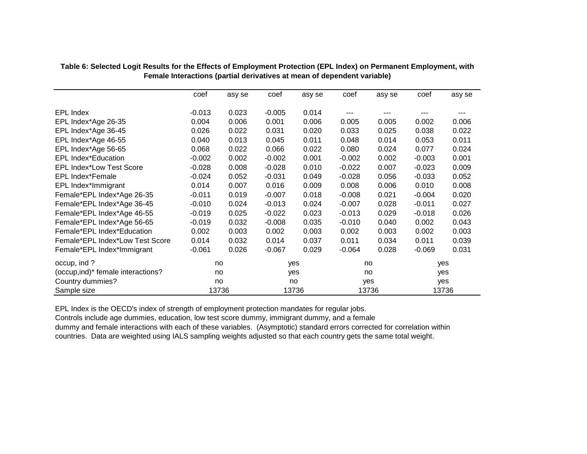|                                    | coef     | asy se | coef     | asy se | coef     | asy se | coef     | asy se |
|------------------------------------|----------|--------|----------|--------|----------|--------|----------|--------|
|                                    |          |        |          |        |          |        |          |        |
| <b>EPL Index</b>                   | $-0.013$ | 0.023  | $-0.005$ | 0.014  |          | ---    |          | ---    |
| EPL Index*Age 26-35                | 0.004    | 0.006  | 0.001    | 0.006  | 0.005    | 0.005  | 0.002    | 0.006  |
| EPL Index*Age 36-45                | 0.026    | 0.022  | 0.031    | 0.020  | 0.033    | 0.025  | 0.038    | 0.022  |
| EPL Index*Age 46-55                | 0.040    | 0.013  | 0.045    | 0.011  | 0.048    | 0.014  | 0.053    | 0.011  |
| EPL Index*Age 56-65                | 0.068    | 0.022  | 0.066    | 0.022  | 0.080    | 0.024  | 0.077    | 0.024  |
| <b>EPL Index*Education</b>         | $-0.002$ | 0.002  | $-0.002$ | 0.001  | $-0.002$ | 0.002  | $-0.003$ | 0.001  |
| <b>EPL Index*Low Test Score</b>    | $-0.028$ | 0.008  | $-0.028$ | 0.010  | $-0.022$ | 0.007  | $-0.023$ | 0.009  |
| <b>EPL Index*Female</b>            | $-0.024$ | 0.052  | $-0.031$ | 0.049  | $-0.028$ | 0.056  | $-0.033$ | 0.052  |
| EPL Index*Immigrant                | 0.014    | 0.007  | 0.016    | 0.009  | 0.008    | 0.006  | 0.010    | 0.008  |
| Female*EPL Index*Age 26-35         | $-0.011$ | 0.019  | $-0.007$ | 0.018  | $-0.008$ | 0.021  | $-0.004$ | 0.020  |
| Female*EPL Index*Age 36-45         | $-0.010$ | 0.024  | $-0.013$ | 0.024  | $-0.007$ | 0.028  | $-0.011$ | 0.027  |
| Female*EPL Index*Age 46-55         | $-0.019$ | 0.025  | $-0.022$ | 0.023  | $-0.013$ | 0.029  | $-0.018$ | 0.026  |
| Female*EPL Index*Age 56-65         | $-0.019$ | 0.032  | $-0.008$ | 0.035  | $-0.010$ | 0.040  | 0.002    | 0.043  |
| Female*EPL Index*Education         | 0.002    | 0.003  | 0.002    | 0.003  | 0.002    | 0.003  | 0.002    | 0.003  |
| Female*EPL Index*Low Test Score    | 0.014    | 0.032  | 0.014    | 0.037  | 0.011    | 0.034  | 0.011    | 0.039  |
| Female*EPL Index*Immigrant         | $-0.061$ | 0.026  | $-0.067$ | 0.029  | $-0.064$ | 0.028  | $-0.069$ | 0.031  |
| occup, ind?                        |          | no     |          | yes    |          | no     |          | yes    |
| (occup, ind)* female interactions? |          | no     |          | yes    |          | no     |          | yes    |
| Country dummies?                   |          | no     |          | no     |          | yes    |          | yes    |
| Sample size                        |          | 13736  |          | 13736  |          | 13736  |          | 13736  |

**Table 6: Selected Logit Results for the Effects of Employment Protection (EPL Index) on Permanent Employment, with Female Interactions (partial derivatives at mean of dependent variable)**

EPL Index is the OECD's index of strength of employment protection mandates for regular jobs.

Controls include age dummies, education, low test score dummy, immigrant dummy, and a female

dummy and female interactions with each of these variables. (Asymptotic) standard errors corrected for correlation within countries. Data are weighted using IALS sampling weights adjusted so that each country gets the same total weight.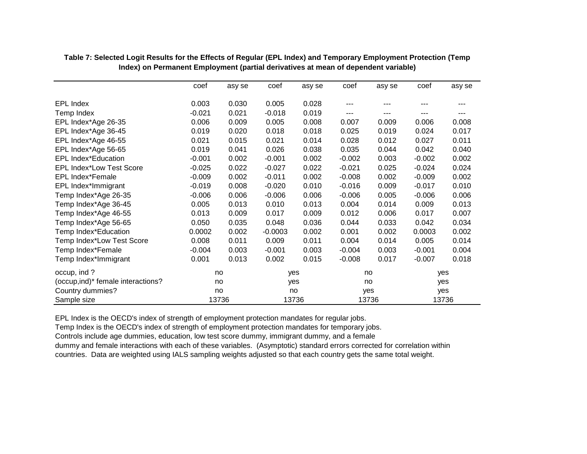|                                    | coef     | asy se | coef      | asy se | coef     | asy se | coef     | asy se |
|------------------------------------|----------|--------|-----------|--------|----------|--------|----------|--------|
| EPL Index                          | 0.003    | 0.030  | 0.005     | 0.028  | ---      |        |          |        |
| Temp Index                         | $-0.021$ | 0.021  | $-0.018$  | 0.019  | ---      |        |          |        |
| EPL Index*Age 26-35                | 0.006    | 0.009  | 0.005     | 0.008  | 0.007    | 0.009  | 0.006    | 0.008  |
| EPL Index*Age 36-45                | 0.019    | 0.020  | 0.018     | 0.018  | 0.025    | 0.019  | 0.024    | 0.017  |
| EPL Index*Age 46-55                | 0.021    | 0.015  | 0.021     | 0.014  | 0.028    | 0.012  | 0.027    | 0.011  |
| EPL Index*Age 56-65                | 0.019    | 0.041  | 0.026     | 0.038  | 0.035    | 0.044  | 0.042    | 0.040  |
| EPL Index*Education                | $-0.001$ | 0.002  | $-0.001$  | 0.002  | $-0.002$ | 0.003  | $-0.002$ | 0.002  |
| EPL Index*Low Test Score           | $-0.025$ | 0.022  | $-0.027$  | 0.022  | $-0.021$ | 0.025  | $-0.024$ | 0.024  |
| <b>EPL Index*Female</b>            | $-0.009$ | 0.002  | $-0.011$  | 0.002  | $-0.008$ | 0.002  | $-0.009$ | 0.002  |
| EPL Index*Immigrant                | $-0.019$ | 0.008  | $-0.020$  | 0.010  | $-0.016$ | 0.009  | $-0.017$ | 0.010  |
| Temp Index*Age 26-35               | $-0.006$ | 0.006  | $-0.006$  | 0.006  | $-0.006$ | 0.005  | $-0.006$ | 0.006  |
| Temp Index*Age 36-45               | 0.005    | 0.013  | 0.010     | 0.013  | 0.004    | 0.014  | 0.009    | 0.013  |
| Temp Index*Age 46-55               | 0.013    | 0.009  | 0.017     | 0.009  | 0.012    | 0.006  | 0.017    | 0.007  |
| Temp Index*Age 56-65               | 0.050    | 0.035  | 0.048     | 0.036  | 0.044    | 0.033  | 0.042    | 0.034  |
| Temp Index*Education               | 0.0002   | 0.002  | $-0.0003$ | 0.002  | 0.001    | 0.002  | 0.0003   | 0.002  |
| Temp Index*Low Test Score          | 0.008    | 0.011  | 0.009     | 0.011  | 0.004    | 0.014  | 0.005    | 0.014  |
| Temp Index*Female                  | $-0.004$ | 0.003  | $-0.001$  | 0.003  | $-0.004$ | 0.003  | $-0.001$ | 0.004  |
| Temp Index*Immigrant               | 0.001    | 0.013  | 0.002     | 0.015  | $-0.008$ | 0.017  | $-0.007$ | 0.018  |
| occup, ind?                        |          | no     |           | yes    |          | no     |          | yes    |
| (occup, ind)* female interactions? |          | no     |           | yes    |          | no     |          | yes    |
| Country dummies?                   |          | no     | no        |        |          | yes    |          | yes    |
| Sample size                        |          | 13736  |           | 13736  |          | 13736  |          | 13736  |

**Table 7: Selected Logit Results for the Effects of Regular (EPL Index) and Temporary Employment Protection (Temp Index) on Permanent Employment (partial derivatives at mean of dependent variable)**

EPL Index is the OECD's index of strength of employment protection mandates for regular jobs.

Temp Index is the OECD's index of strength of employment protection mandates for temporary jobs.

Controls include age dummies, education, low test score dummy, immigrant dummy, and a female

dummy and female interactions with each of these variables. (Asymptotic) standard errors corrected for correlation within countries. Data are weighted using IALS sampling weights adjusted so that each country gets the same total weight.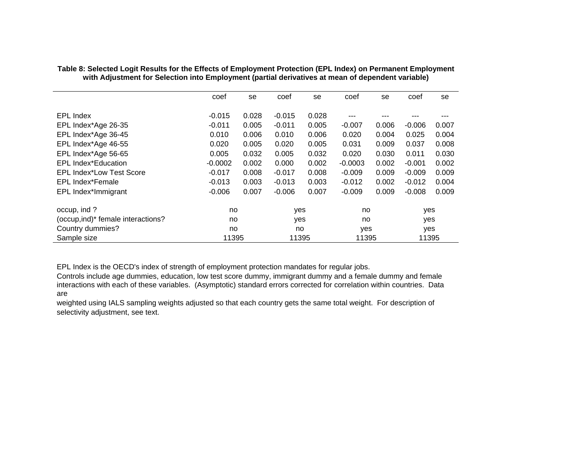|                                    | coef      | se    | coef     | se    | coef      | se    | coef     | se    |
|------------------------------------|-----------|-------|----------|-------|-----------|-------|----------|-------|
| EPL Index                          | $-0.015$  | 0.028 | $-0.015$ | 0.028 |           |       |          |       |
| EPL Index*Age 26-35                | $-0.011$  | 0.005 | $-0.011$ | 0.005 | $-0.007$  | 0.006 | $-0.006$ | 0.007 |
| EPL Index*Age 36-45                | 0.010     | 0.006 | 0.010    | 0.006 | 0.020     | 0.004 | 0.025    | 0.004 |
| EPL Index*Age 46-55                | 0.020     | 0.005 | 0.020    | 0.005 | 0.031     | 0.009 | 0.037    | 0.008 |
| EPL Index*Age 56-65                | 0.005     | 0.032 | 0.005    | 0.032 | 0.020     | 0.030 | 0.011    | 0.030 |
| <b>EPL Index*Education</b>         | $-0.0002$ | 0.002 | 0.000    | 0.002 | $-0.0003$ | 0.002 | $-0.001$ | 0.002 |
| <b>EPL Index*Low Test Score</b>    | $-0.017$  | 0.008 | $-0.017$ | 0.008 | $-0.009$  | 0.009 | $-0.009$ | 0.009 |
| EPL Index*Female                   | $-0.013$  | 0.003 | $-0.013$ | 0.003 | $-0.012$  | 0.002 | $-0.012$ | 0.004 |
| EPL Index*Immigrant                | $-0.006$  | 0.007 | $-0.006$ | 0.007 | $-0.009$  | 0.009 | $-0.008$ | 0.009 |
| occup, ind?                        | no.       |       | yes      |       | no        |       | yes      |       |
| (occup, ind)* female interactions? | no.       |       | yes      |       | no        |       | yes      |       |
| Country dummies?                   | no        |       | no       |       | yes       |       | yes      |       |
| Sample size                        | 11395     |       | 11395    |       | 11395     |       | 11395    |       |

**Table 8: Selected Logit Results for the Effects of Employment Protection (EPL Index) on Permanent Employment with Adjustment for Selection into Employment (partial derivatives at mean of dependent variable)** 

EPL Index is the OECD's index of strength of employment protection mandates for regular jobs.

Controls include age dummies, education, low test score dummy, immigrant dummy and a female dummy and female interactions with each of these variables. (Asymptotic) standard errors corrected for correlation within countries. Data are

weighted using IALS sampling weights adjusted so that each country gets the same total weight. For description of selectivity adjustment, see text.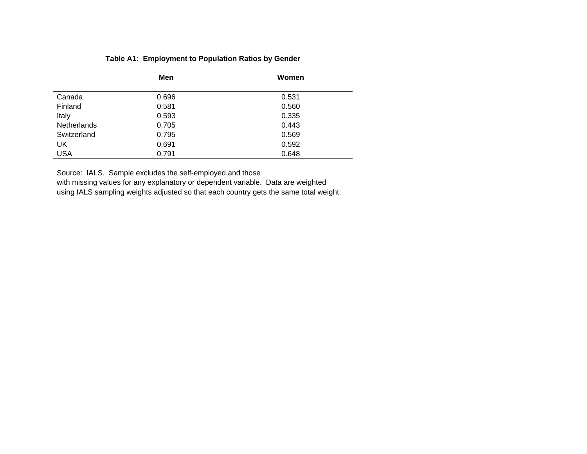### **Table A1: Employment to Population Ratios by Gender**

|             | Men   | Women |
|-------------|-------|-------|
| Canada      | 0.696 | 0.531 |
| Finland     | 0.581 | 0.560 |
| Italy       | 0.593 | 0.335 |
| Netherlands | 0.705 | 0.443 |
| Switzerland | 0.795 | 0.569 |
| UK          | 0.691 | 0.592 |
| <b>USA</b>  | 0.791 | 0.648 |

Source: IALS. Sample excludes the self-employed and those with missing values for any explanatory or dependent variable. Data are weighted using IALS sampling weights adjusted so that each country gets the same total weight.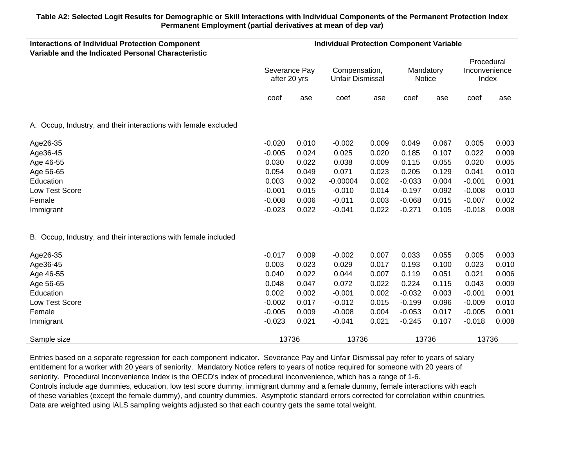#### **Table A2: Selected Logit Results for Demographic or Skill Interactions with Individual Components of the Permanent Protection Index Permanent Employment (partial derivatives at mean of dep var)**

| <b>Interactions of Individual Protection Component</b>          | <b>Individual Protection Component Variable</b> |       |                                          |       |                     |       |                                      |       |
|-----------------------------------------------------------------|-------------------------------------------------|-------|------------------------------------------|-------|---------------------|-------|--------------------------------------|-------|
| Variable and the Indicated Personal Characteristic              | Severance Pay<br>after 20 yrs                   |       | Compensation,<br><b>Unfair Dismissal</b> |       | Mandatory<br>Notice |       | Procedural<br>Inconvenience<br>Index |       |
|                                                                 | coef                                            | ase   | coef                                     | ase   | coef                | ase   | coef                                 | ase   |
| A. Occup, Industry, and their interactions with female excluded |                                                 |       |                                          |       |                     |       |                                      |       |
| Age26-35                                                        | $-0.020$                                        | 0.010 | $-0.002$                                 | 0.009 | 0.049               | 0.067 | 0.005                                | 0.003 |
| Age36-45                                                        | $-0.005$                                        | 0.024 | 0.025                                    | 0.020 | 0.185               | 0.107 | 0.022                                | 0.009 |
| Age 46-55                                                       | 0.030                                           | 0.022 | 0.038                                    | 0.009 | 0.115               | 0.055 | 0.020                                | 0.005 |
| Age 56-65                                                       | 0.054                                           | 0.049 | 0.071                                    | 0.023 | 0.205               | 0.129 | 0.041                                | 0.010 |
| Education                                                       | 0.003                                           | 0.002 | $-0.00004$                               | 0.002 | $-0.033$            | 0.004 | $-0.001$                             | 0.001 |
| Low Test Score                                                  | $-0.001$                                        | 0.015 | $-0.010$                                 | 0.014 | $-0.197$            | 0.092 | $-0.008$                             | 0.010 |
| Female                                                          | $-0.008$                                        | 0.006 | $-0.011$                                 | 0.003 | $-0.068$            | 0.015 | $-0.007$                             | 0.002 |
| Immigrant                                                       | $-0.023$                                        | 0.022 | $-0.041$                                 | 0.022 | $-0.271$            | 0.105 | $-0.018$                             | 0.008 |
| B. Occup, Industry, and their interactions with female included |                                                 |       |                                          |       |                     |       |                                      |       |
| Age26-35                                                        | $-0.017$                                        | 0.009 | $-0.002$                                 | 0.007 | 0.033               | 0.055 | 0.005                                | 0.003 |
| Age36-45                                                        | 0.003                                           | 0.023 | 0.029                                    | 0.017 | 0.193               | 0.100 | 0.023                                | 0.010 |
| Age 46-55                                                       | 0.040                                           | 0.022 | 0.044                                    | 0.007 | 0.119               | 0.051 | 0.021                                | 0.006 |
| Age 56-65                                                       | 0.048                                           | 0.047 | 0.072                                    | 0.022 | 0.224               | 0.115 | 0.043                                | 0.009 |
| Education                                                       | 0.002                                           | 0.002 | $-0.001$                                 | 0.002 | $-0.032$            | 0.003 | $-0.001$                             | 0.001 |
| Low Test Score                                                  | $-0.002$                                        | 0.017 | $-0.012$                                 | 0.015 | $-0.199$            | 0.096 | $-0.009$                             | 0.010 |
| Female                                                          | $-0.005$                                        | 0.009 | $-0.008$                                 | 0.004 | $-0.053$            | 0.017 | $-0.005$                             | 0.001 |
| Immigrant                                                       | $-0.023$                                        | 0.021 | $-0.041$                                 | 0.021 | $-0.245$            | 0.107 | $-0.018$                             | 0.008 |
| Sample size                                                     | 13736                                           |       | 13736                                    |       | 13736               |       | 13736                                |       |

Entries based on a separate regression for each component indicator. Severance Pay and Unfair Dismissal pay refer to years of salary entitlement for a worker with 20 years of seniority. Mandatory Notice refers to years of notice required for someone with 20 years of seniority. Procedural Inconvenience Index is the OECD's index of procedural inconvenience, which has a range of 1-6. Controls include age dummies, education, low test score dummy, immigrant dummy and a female dummy, female interactions with each of these variables (except the female dummy), and country dummies. Asymptotic standard errors corrected for correlation within countries. Data are weighted using IALS sampling weights adjusted so that each country gets the same total weight.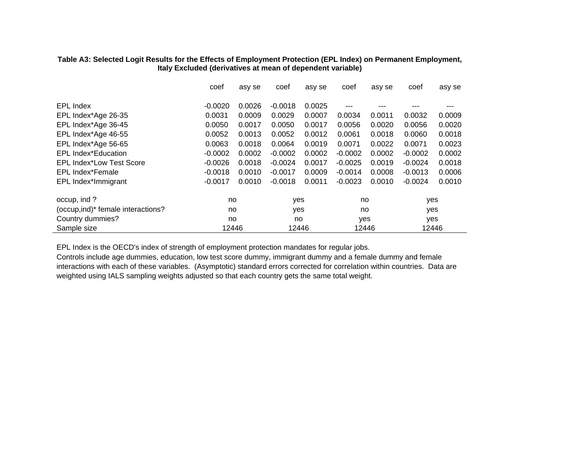#### **Table A3: Selected Logit Results for the Effects of Employment Protection (EPL Index) on Permanent Employment, Italy Excluded (derivatives at mean of dependent variable)**

|                                    | coef      | asy se | coef      | asy se | coef      | asy se | coef       | asy se |
|------------------------------------|-----------|--------|-----------|--------|-----------|--------|------------|--------|
|                                    |           |        |           |        |           |        |            |        |
| <b>EPL Index</b>                   | $-0.0020$ | 0.0026 | $-0.0018$ | 0.0025 | ---       | ---    | ---        | ---    |
| EPL Index*Age 26-35                | 0.0031    | 0.0009 | 0.0029    | 0.0007 | 0.0034    | 0.0011 | 0.0032     | 0.0009 |
| EPL Index*Age 36-45                | 0.0050    | 0.0017 | 0.0050    | 0.0017 | 0.0056    | 0.0020 | 0.0056     | 0.0020 |
| EPL Index*Age 46-55                | 0.0052    | 0.0013 | 0.0052    | 0.0012 | 0.0061    | 0.0018 | 0.0060     | 0.0018 |
| EPL Index*Age 56-65                | 0.0063    | 0.0018 | 0.0064    | 0.0019 | 0.0071    | 0.0022 | 0.0071     | 0.0023 |
| <b>EPL Index*Education</b>         | $-0.0002$ | 0.0002 | $-0.0002$ | 0.0002 | $-0.0002$ | 0.0002 | $-0.0002$  | 0.0002 |
| EPL Index*Low Test Score           | $-0.0026$ | 0.0018 | $-0.0024$ | 0.0017 | $-0.0025$ | 0.0019 | $-0.0024$  | 0.0018 |
| <b>EPL Index*Female</b>            | $-0.0018$ | 0.0010 | $-0.0017$ | 0.0009 | $-0.0014$ | 0.0008 | $-0.0013$  | 0.0006 |
| EPL Index*Immigrant                | $-0.0017$ | 0.0010 | $-0.0018$ | 0.0011 | $-0.0023$ | 0.0010 | $-0.0024$  | 0.0010 |
| occup, ind?                        | no        |        | yes       |        | no        |        | yes        |        |
| (occup, ind)* female interactions? | no        |        | yes       |        | no        |        |            |        |
| Country dummies?                   | no        |        | no        |        | yes       |        | yes<br>yes |        |
| Sample size                        | 12446     |        | 12446     |        | 12446     |        | 12446      |        |

EPL Index is the OECD's index of strength of employment protection mandates for regular jobs.

Controls include age dummies, education, low test score dummy, immigrant dummy and a female dummy and female interactions with each of these variables. (Asymptotic) standard errors corrected for correlation within countries. Data are weighted using IALS sampling weights adjusted so that each country gets the same total weight.